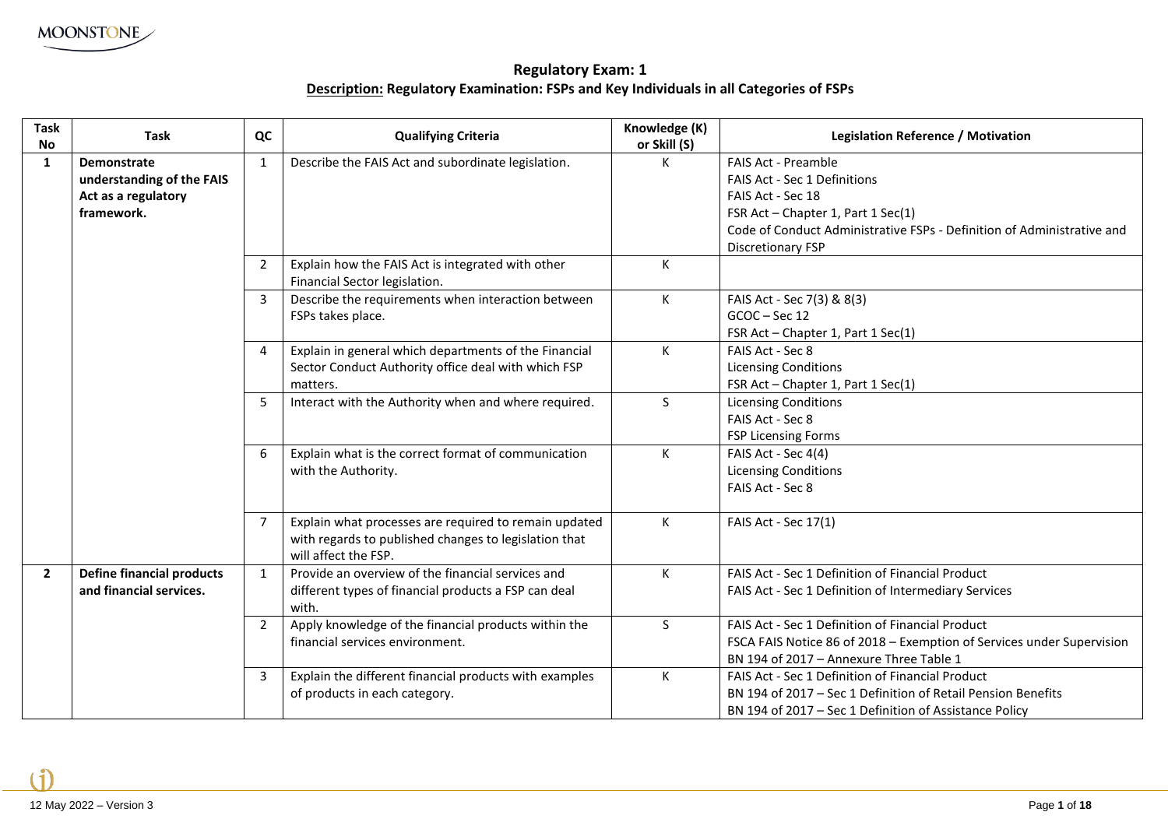**Regulatory Exam: 1 Description: Regulatory Examination: FSPs and Key Individuals in all Categories of FSPs**

| Task<br><b>No</b> | <b>Task</b>                                                                   | QC             | <b>Qualifying Criteria</b>                                                                                                             | Knowledge (K)<br>or Skill (S) | Legislation Reference / Motivation                                                                                                                                                                     |
|-------------------|-------------------------------------------------------------------------------|----------------|----------------------------------------------------------------------------------------------------------------------------------------|-------------------------------|--------------------------------------------------------------------------------------------------------------------------------------------------------------------------------------------------------|
| $\mathbf{1}$      | Demonstrate<br>understanding of the FAIS<br>Act as a regulatory<br>framework. | 1              | Describe the FAIS Act and subordinate legislation.                                                                                     | K                             | <b>FAIS Act - Preamble</b><br><b>FAIS Act - Sec 1 Definitions</b><br>FAIS Act - Sec 18<br>FSR Act - Chapter 1, Part 1 Sec(1)<br>Code of Conduct Administrative FSPs - Definition of Administrative and |
|                   |                                                                               | $\overline{2}$ | Explain how the FAIS Act is integrated with other<br>Financial Sector legislation.                                                     | К                             | <b>Discretionary FSP</b>                                                                                                                                                                               |
|                   |                                                                               | 3              | Describe the requirements when interaction between<br>FSPs takes place.                                                                | K                             | FAIS Act - Sec 7(3) & 8(3)<br>GCOC-Sec 12<br>FSR Act - Chapter 1, Part 1 Sec(1)                                                                                                                        |
|                   |                                                                               | 4              | Explain in general which departments of the Financial<br>Sector Conduct Authority office deal with which FSP<br>matters.               | K                             | FAIS Act - Sec 8<br><b>Licensing Conditions</b><br>FSR Act - Chapter 1, Part 1 Sec(1)                                                                                                                  |
|                   |                                                                               |                | Interact with the Authority when and where required.                                                                                   | S.                            | <b>Licensing Conditions</b><br>FAIS Act - Sec 8<br><b>FSP Licensing Forms</b>                                                                                                                          |
|                   |                                                                               | 6              | Explain what is the correct format of communication<br>with the Authority.                                                             | K                             | FAIS Act - Sec 4(4)<br><b>Licensing Conditions</b><br>FAIS Act - Sec 8                                                                                                                                 |
|                   |                                                                               |                | Explain what processes are required to remain updated<br>with regards to published changes to legislation that<br>will affect the FSP. | K                             | FAIS Act - Sec 17(1)                                                                                                                                                                                   |
| $\mathbf{2}$      | <b>Define financial products</b><br>and financial services.                   | $\mathbf{1}$   | Provide an overview of the financial services and<br>different types of financial products a FSP can deal<br>with.                     | К                             | FAIS Act - Sec 1 Definition of Financial Product<br>FAIS Act - Sec 1 Definition of Intermediary Services                                                                                               |
|                   |                                                                               | 2              | Apply knowledge of the financial products within the<br>financial services environment.                                                | S.                            | FAIS Act - Sec 1 Definition of Financial Product<br>FSCA FAIS Notice 86 of 2018 - Exemption of Services under Supervision<br>BN 194 of 2017 - Annexure Three Table 1                                   |
|                   |                                                                               | 3              | Explain the different financial products with examples<br>of products in each category.                                                | K                             | FAIS Act - Sec 1 Definition of Financial Product<br>BN 194 of 2017 - Sec 1 Definition of Retail Pension Benefits<br>BN 194 of 2017 – Sec 1 Definition of Assistance Policy                             |

 $\mathbf{f}$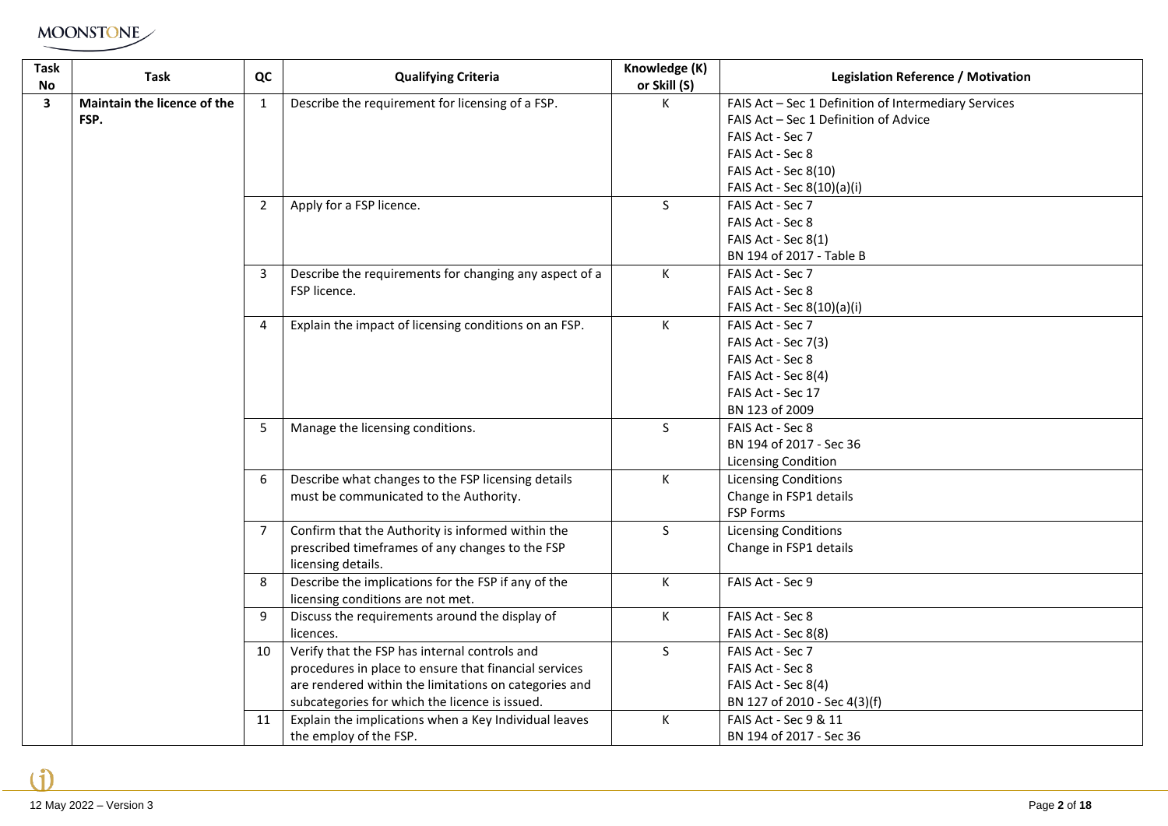| <b>Task</b><br>No       | Task                        | QC             | <b>Qualifying Criteria</b>                                                | Knowledge (K)<br>or Skill (S) | <b>Legislation Reference / Motivation</b>                                                     |
|-------------------------|-----------------------------|----------------|---------------------------------------------------------------------------|-------------------------------|-----------------------------------------------------------------------------------------------|
| $\overline{\mathbf{3}}$ | Maintain the licence of the | 1              | Describe the requirement for licensing of a FSP.                          | К                             | FAIS Act - Sec 1 Definition of Intermediary Services<br>FAIS Act - Sec 1 Definition of Advice |
|                         | FSP.                        |                |                                                                           |                               | FAIS Act - Sec 7                                                                              |
|                         |                             |                |                                                                           |                               | FAIS Act - Sec 8                                                                              |
|                         |                             |                |                                                                           |                               | FAIS Act - Sec 8(10)                                                                          |
|                         |                             |                |                                                                           |                               | FAIS Act - Sec 8(10)(a)(i)                                                                    |
|                         |                             | $\overline{2}$ | Apply for a FSP licence.                                                  | <sub>S</sub>                  | FAIS Act - Sec 7                                                                              |
|                         |                             |                |                                                                           |                               | FAIS Act - Sec 8                                                                              |
|                         |                             |                |                                                                           |                               | FAIS Act - Sec 8(1)                                                                           |
|                         |                             |                |                                                                           |                               | BN 194 of 2017 - Table B                                                                      |
|                         |                             | 3              | Describe the requirements for changing any aspect of a                    | К                             | FAIS Act - Sec 7                                                                              |
|                         |                             |                | FSP licence.                                                              |                               | FAIS Act - Sec 8                                                                              |
|                         |                             |                |                                                                           |                               | FAIS Act - Sec 8(10)(a)(i)                                                                    |
|                         |                             | 4              | Explain the impact of licensing conditions on an FSP.                     | K                             | FAIS Act - Sec 7                                                                              |
|                         |                             |                |                                                                           |                               | FAIS Act - Sec 7(3)                                                                           |
|                         |                             |                |                                                                           |                               | FAIS Act - Sec 8                                                                              |
|                         |                             |                |                                                                           |                               | FAIS Act - Sec 8(4)                                                                           |
|                         |                             |                |                                                                           |                               | FAIS Act - Sec 17                                                                             |
|                         |                             |                |                                                                           |                               | BN 123 of 2009                                                                                |
|                         |                             | 5              | Manage the licensing conditions.                                          | S                             | FAIS Act - Sec 8                                                                              |
|                         |                             |                |                                                                           |                               | BN 194 of 2017 - Sec 36                                                                       |
|                         |                             |                |                                                                           |                               | <b>Licensing Condition</b>                                                                    |
|                         |                             | 6              | Describe what changes to the FSP licensing details                        | К                             | <b>Licensing Conditions</b>                                                                   |
|                         |                             |                | must be communicated to the Authority.                                    |                               | Change in FSP1 details                                                                        |
|                         |                             |                |                                                                           |                               | <b>FSP Forms</b>                                                                              |
|                         |                             | $\overline{7}$ | Confirm that the Authority is informed within the                         | $\mathsf{S}$                  | <b>Licensing Conditions</b>                                                                   |
|                         |                             |                | prescribed timeframes of any changes to the FSP                           |                               | Change in FSP1 details                                                                        |
|                         |                             | 8              | licensing details.<br>Describe the implications for the FSP if any of the | К                             | FAIS Act - Sec 9                                                                              |
|                         |                             |                | licensing conditions are not met.                                         |                               |                                                                                               |
|                         |                             | 9              | Discuss the requirements around the display of                            | К                             | FAIS Act - Sec 8                                                                              |
|                         |                             |                | licences.                                                                 |                               | FAIS Act - Sec 8(8)                                                                           |
|                         |                             | 10             | Verify that the FSP has internal controls and                             | S                             | FAIS Act - Sec 7                                                                              |
|                         |                             |                | procedures in place to ensure that financial services                     |                               | FAIS Act - Sec 8                                                                              |
|                         |                             |                | are rendered within the limitations on categories and                     |                               | FAIS Act - Sec 8(4)                                                                           |
|                         |                             |                | subcategories for which the licence is issued.                            |                               | BN 127 of 2010 - Sec 4(3)(f)                                                                  |
|                         |                             | 11             | Explain the implications when a Key Individual leaves                     | К                             | FAIS Act - Sec 9 & 11                                                                         |
|                         |                             |                | the employ of the FSP.                                                    |                               | BN 194 of 2017 - Sec 36                                                                       |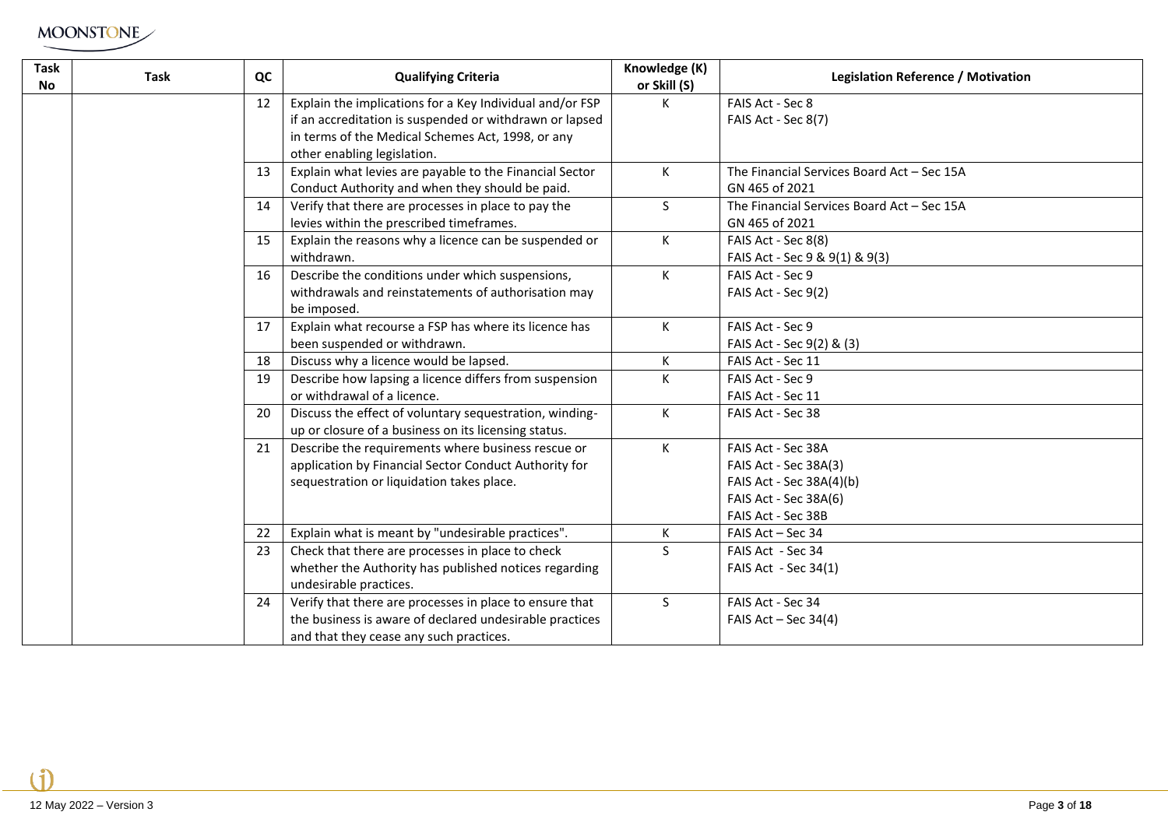| <b>Task</b><br><b>No</b> | <b>Task</b> | QC | <b>Qualifying Criteria</b>                               | Knowledge (K)<br>or Skill (S) | <b>Legislation Reference / Motivation</b>  |
|--------------------------|-------------|----|----------------------------------------------------------|-------------------------------|--------------------------------------------|
|                          |             | 12 | Explain the implications for a Key Individual and/or FSP | K                             | FAIS Act - Sec 8                           |
|                          |             |    | if an accreditation is suspended or withdrawn or lapsed  |                               | FAIS Act - Sec 8(7)                        |
|                          |             |    | in terms of the Medical Schemes Act, 1998, or any        |                               |                                            |
|                          |             |    | other enabling legislation.                              |                               |                                            |
|                          |             | 13 | Explain what levies are payable to the Financial Sector  | K                             | The Financial Services Board Act - Sec 15A |
|                          |             |    | Conduct Authority and when they should be paid.          |                               | GN 465 of 2021                             |
|                          |             | 14 | Verify that there are processes in place to pay the      | S                             | The Financial Services Board Act - Sec 15A |
|                          |             |    | levies within the prescribed timeframes.                 |                               | GN 465 of 2021                             |
|                          |             | 15 | Explain the reasons why a licence can be suspended or    | K                             | FAIS Act - Sec 8(8)                        |
|                          |             |    | withdrawn.                                               |                               | FAIS Act - Sec 9 & 9(1) & 9(3)             |
|                          |             | 16 | Describe the conditions under which suspensions,         | K                             | FAIS Act - Sec 9                           |
|                          |             |    | withdrawals and reinstatements of authorisation may      |                               | FAIS Act - Sec 9(2)                        |
|                          |             |    | be imposed.                                              |                               |                                            |
|                          |             | 17 | Explain what recourse a FSP has where its licence has    | K                             | FAIS Act - Sec 9                           |
|                          |             |    | been suspended or withdrawn.                             |                               | FAIS Act - Sec 9(2) & (3)                  |
|                          |             | 18 | Discuss why a licence would be lapsed.                   | K                             | FAIS Act - Sec 11                          |
|                          |             | 19 | Describe how lapsing a licence differs from suspension   | K                             | FAIS Act - Sec 9                           |
|                          |             |    | or withdrawal of a licence.                              |                               | FAIS Act - Sec 11                          |
|                          |             | 20 | Discuss the effect of voluntary sequestration, winding-  | K                             | FAIS Act - Sec 38                          |
|                          |             |    | up or closure of a business on its licensing status.     |                               |                                            |
|                          |             | 21 | Describe the requirements where business rescue or       | K                             | FAIS Act - Sec 38A                         |
|                          |             |    | application by Financial Sector Conduct Authority for    |                               | FAIS Act - Sec 38A(3)                      |
|                          |             |    | sequestration or liquidation takes place.                |                               | FAIS Act - Sec 38A(4)(b)                   |
|                          |             |    |                                                          |                               | FAIS Act - Sec 38A(6)                      |
|                          |             |    |                                                          |                               | FAIS Act - Sec 38B                         |
|                          |             | 22 | Explain what is meant by "undesirable practices".        | K                             | FAIS Act - Sec 34                          |
|                          |             | 23 | Check that there are processes in place to check         | S                             | FAIS Act - Sec 34                          |
|                          |             |    | whether the Authority has published notices regarding    |                               | FAIS Act - Sec 34(1)                       |
|                          |             |    | undesirable practices.                                   |                               |                                            |
|                          |             | 24 | Verify that there are processes in place to ensure that  | S.                            | FAIS Act - Sec 34                          |
|                          |             |    | the business is aware of declared undesirable practices  |                               | FAIS Act $-$ Sec 34(4)                     |
|                          |             |    | and that they cease any such practices.                  |                               |                                            |

 $\mathbf{f}$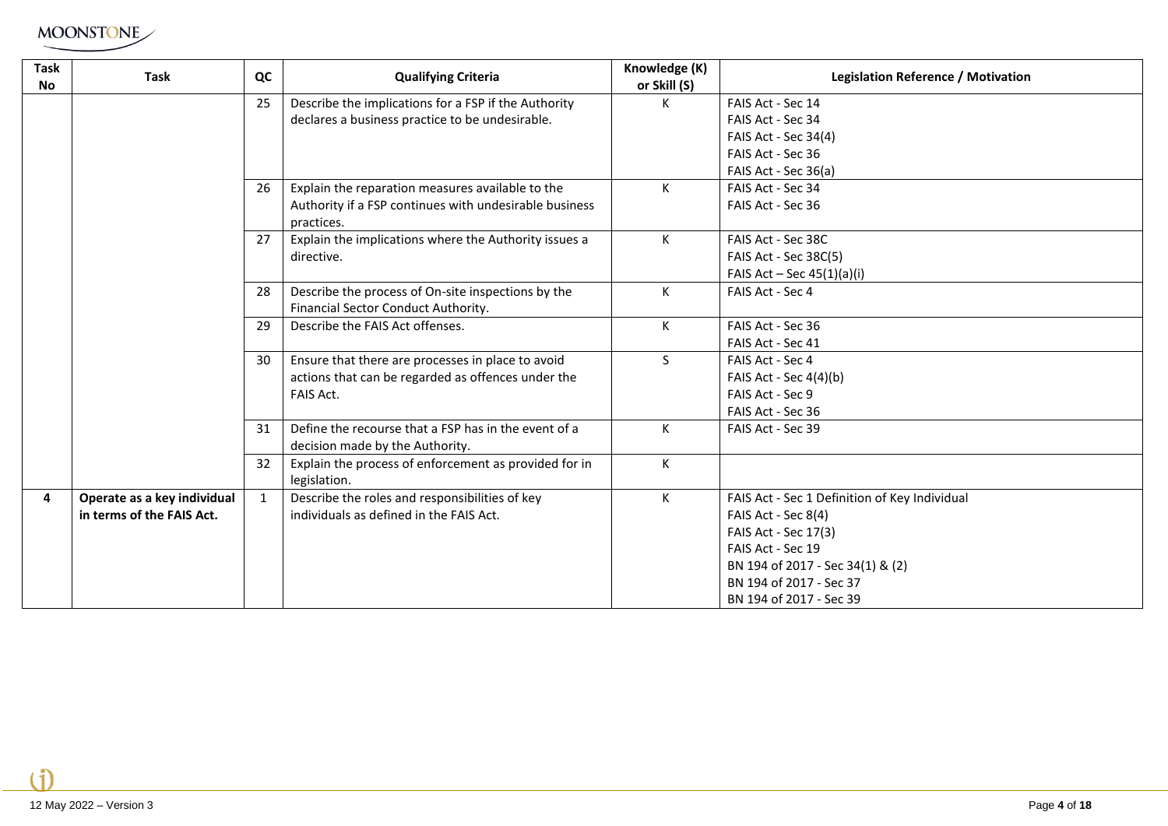| Task<br><b>No</b> | <b>Task</b>                 | QC           | <b>Qualifying Criteria</b>                                                              | Knowledge (K)<br>or Skill (S) | Legislation Reference / Motivation            |
|-------------------|-----------------------------|--------------|-----------------------------------------------------------------------------------------|-------------------------------|-----------------------------------------------|
|                   |                             | 25           | Describe the implications for a FSP if the Authority                                    | K.                            | FAIS Act - Sec 14                             |
|                   |                             |              | declares a business practice to be undesirable.                                         |                               | FAIS Act - Sec 34                             |
|                   |                             |              |                                                                                         |                               | FAIS Act - Sec 34(4)                          |
|                   |                             |              |                                                                                         |                               | FAIS Act - Sec 36                             |
|                   |                             |              |                                                                                         |                               | FAIS Act - Sec 36(a)                          |
|                   |                             | 26           | Explain the reparation measures available to the                                        | K                             | FAIS Act - Sec 34                             |
|                   |                             |              | Authority if a FSP continues with undesirable business                                  |                               | FAIS Act - Sec 36                             |
|                   |                             |              | practices.                                                                              |                               |                                               |
|                   |                             | 27           | Explain the implications where the Authority issues a                                   | K                             | FAIS Act - Sec 38C                            |
|                   |                             |              | directive.                                                                              |                               | FAIS Act - Sec 38C(5)                         |
|                   |                             |              |                                                                                         |                               | FAIS Act $-$ Sec 45(1)(a)(i)                  |
|                   |                             | 28           | Describe the process of On-site inspections by the                                      | K                             | FAIS Act - Sec 4                              |
|                   |                             |              | Financial Sector Conduct Authority.                                                     |                               |                                               |
|                   |                             | 29           | Describe the FAIS Act offenses.                                                         | K                             | FAIS Act - Sec 36                             |
|                   |                             |              |                                                                                         |                               | FAIS Act - Sec 41                             |
|                   |                             | 30           | Ensure that there are processes in place to avoid                                       | S.                            | FAIS Act - Sec 4                              |
|                   |                             |              | actions that can be regarded as offences under the                                      |                               | FAIS Act - Sec 4(4)(b)                        |
|                   |                             |              | FAIS Act.                                                                               |                               | FAIS Act - Sec 9                              |
|                   |                             |              |                                                                                         |                               | FAIS Act - Sec 36                             |
|                   |                             | 31           | Define the recourse that a FSP has in the event of a<br>decision made by the Authority. | K                             | FAIS Act - Sec 39                             |
|                   |                             | 32           | Explain the process of enforcement as provided for in<br>legislation.                   | K                             |                                               |
| 4                 | Operate as a key individual | $\mathbf{1}$ | Describe the roles and responsibilities of key                                          | K                             | FAIS Act - Sec 1 Definition of Key Individual |
|                   | in terms of the FAIS Act.   |              | individuals as defined in the FAIS Act.                                                 |                               | FAIS Act - Sec 8(4)                           |
|                   |                             |              |                                                                                         |                               | FAIS Act - Sec 17(3)                          |
|                   |                             |              |                                                                                         |                               | FAIS Act - Sec 19                             |
|                   |                             |              |                                                                                         |                               | BN 194 of 2017 - Sec 34(1) & (2)              |
|                   |                             |              |                                                                                         |                               | BN 194 of 2017 - Sec 37                       |
|                   |                             |              |                                                                                         |                               | BN 194 of 2017 - Sec 39                       |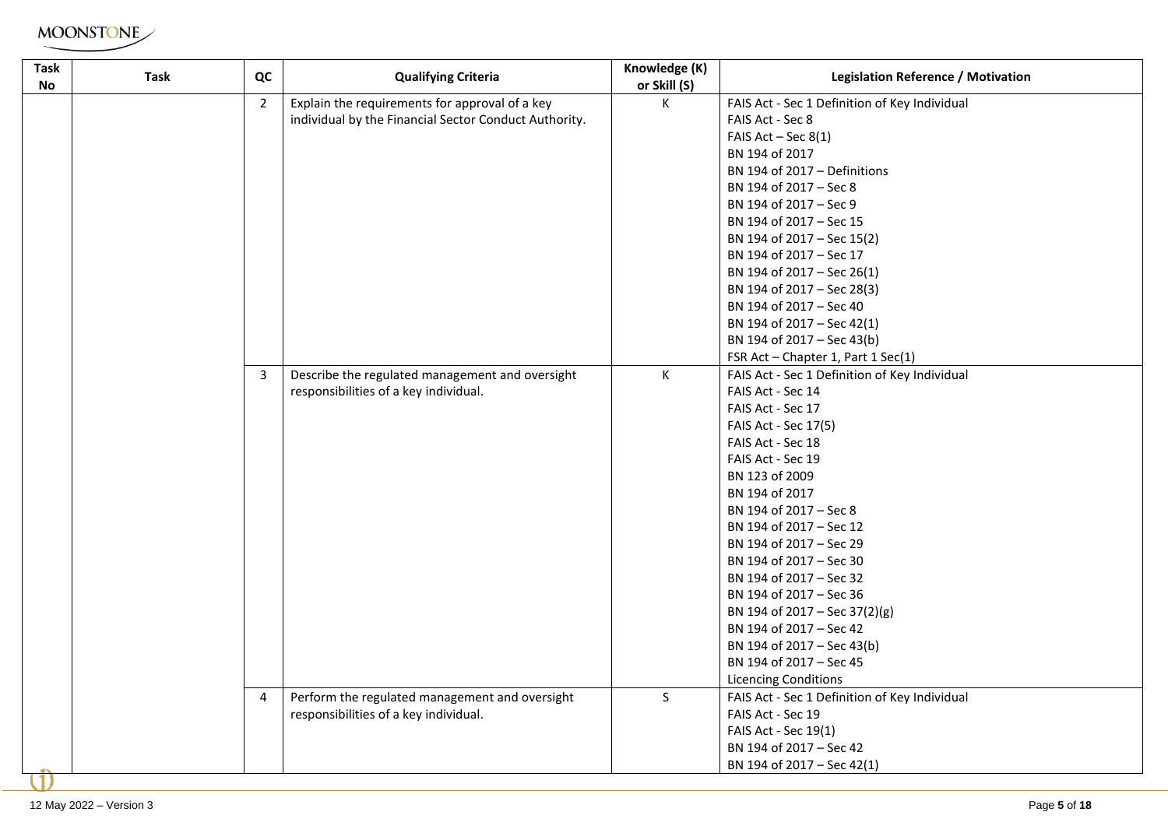| Task<br>No | Task | QC             | <b>Qualifying Criteria</b>                            | Knowledge (K)<br>or Skill (S) | <b>Legislation Reference / Motivation</b>     |
|------------|------|----------------|-------------------------------------------------------|-------------------------------|-----------------------------------------------|
|            |      | $\overline{2}$ | Explain the requirements for approval of a key        | K                             | FAIS Act - Sec 1 Definition of Key Individual |
|            |      |                | individual by the Financial Sector Conduct Authority. |                               | FAIS Act - Sec 8                              |
|            |      |                |                                                       |                               | FAIS $Act - Sec 8(1)$                         |
|            |      |                |                                                       |                               | BN 194 of 2017                                |
|            |      |                |                                                       |                               | BN 194 of 2017 - Definitions                  |
|            |      |                |                                                       |                               | BN 194 of 2017 - Sec 8                        |
|            |      |                |                                                       |                               | BN 194 of 2017 - Sec 9                        |
|            |      |                |                                                       |                               | BN 194 of 2017 - Sec 15                       |
|            |      |                |                                                       |                               | BN 194 of 2017 - Sec 15(2)                    |
|            |      |                |                                                       |                               | BN 194 of 2017 - Sec 17                       |
|            |      |                |                                                       |                               | BN 194 of 2017 - Sec 26(1)                    |
|            |      |                |                                                       |                               | BN 194 of 2017 - Sec 28(3)                    |
|            |      |                |                                                       |                               | BN 194 of 2017 - Sec 40                       |
|            |      |                |                                                       |                               | BN 194 of 2017 - Sec 42(1)                    |
|            |      |                |                                                       |                               | BN 194 of 2017 - Sec 43(b)                    |
|            |      |                |                                                       |                               | FSR Act - Chapter 1, Part 1 Sec(1)            |
|            |      | 3              | Describe the regulated management and oversight       | K                             | FAIS Act - Sec 1 Definition of Key Individual |
|            |      |                | responsibilities of a key individual.                 |                               | FAIS Act - Sec 14                             |
|            |      |                |                                                       |                               | FAIS Act - Sec 17                             |
|            |      |                |                                                       |                               | FAIS Act - Sec 17(5)                          |
|            |      |                |                                                       |                               | FAIS Act - Sec 18                             |
|            |      |                |                                                       |                               | FAIS Act - Sec 19                             |
|            |      |                |                                                       |                               | BN 123 of 2009                                |
|            |      |                |                                                       |                               | BN 194 of 2017                                |
|            |      |                |                                                       |                               | BN 194 of 2017 - Sec 8                        |
|            |      |                |                                                       |                               | BN 194 of 2017 - Sec 12                       |
|            |      |                |                                                       |                               | BN 194 of 2017 - Sec 29                       |
|            |      |                |                                                       |                               | BN 194 of 2017 - Sec 30                       |
|            |      |                |                                                       |                               | BN 194 of 2017 - Sec 32                       |
|            |      |                |                                                       |                               | BN 194 of 2017 - Sec 36                       |
|            |      |                |                                                       |                               | BN 194 of 2017 - Sec 37(2)(g)                 |
|            |      |                |                                                       |                               | BN 194 of 2017 - Sec 42                       |
|            |      |                |                                                       |                               | BN 194 of 2017 - Sec 43(b)                    |
|            |      |                |                                                       |                               | BN 194 of 2017 - Sec 45                       |
|            |      |                |                                                       |                               | <b>Licencing Conditions</b>                   |
|            |      | 4              | Perform the regulated management and oversight        | S.                            | FAIS Act - Sec 1 Definition of Key Individual |
|            |      |                | responsibilities of a key individual.                 |                               | FAIS Act - Sec 19                             |
|            |      |                |                                                       |                               | FAIS Act - Sec 19(1)                          |
|            |      |                |                                                       |                               | BN 194 of 2017 - Sec 42                       |
|            |      |                |                                                       |                               | BN 194 of 2017 - Sec 42(1)                    |
|            |      |                |                                                       |                               |                                               |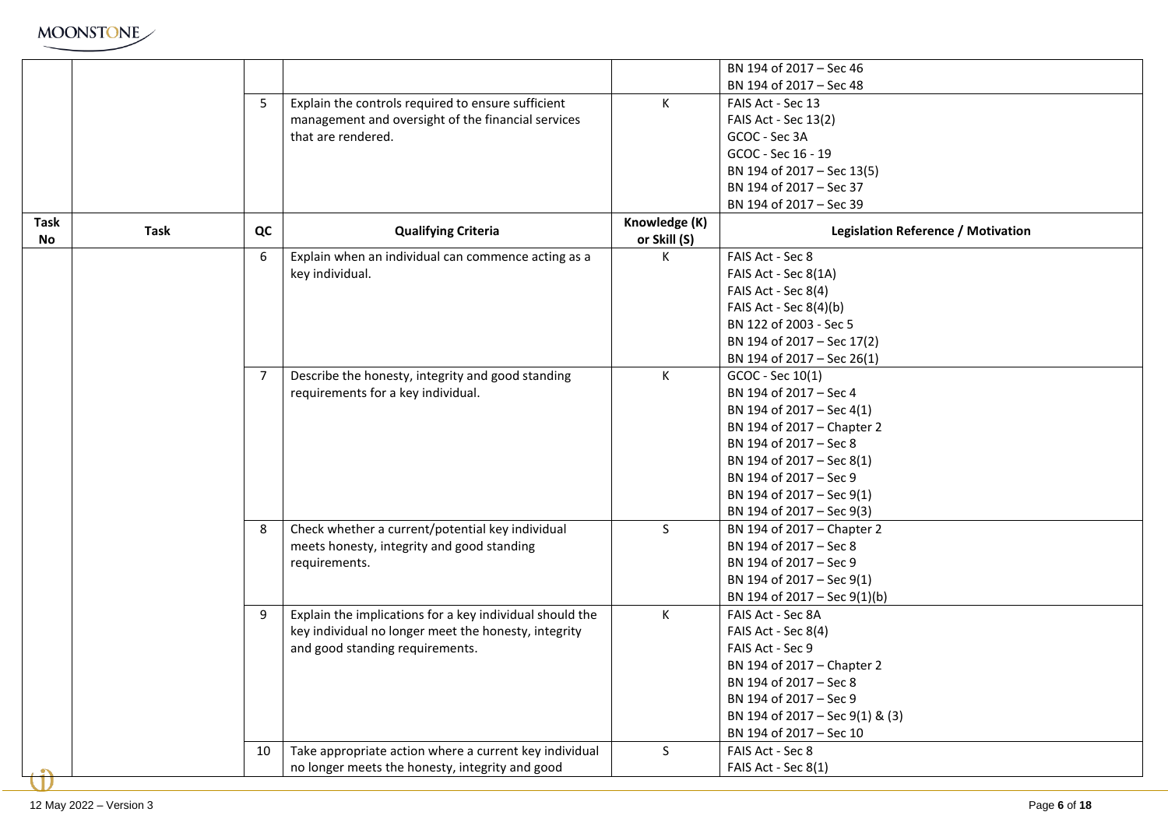| MOONSTONE |
|-----------|
|-----------|

|             |             |                |                                                                                         |               | BN 194 of 2017 - Sec 46                   |
|-------------|-------------|----------------|-----------------------------------------------------------------------------------------|---------------|-------------------------------------------|
|             |             |                |                                                                                         |               | BN 194 of 2017 - Sec 48                   |
|             |             | 5              | Explain the controls required to ensure sufficient                                      | K             | FAIS Act - Sec 13                         |
|             |             |                | management and oversight of the financial services                                      |               | FAIS Act - Sec 13(2)                      |
|             |             |                | that are rendered.                                                                      |               | GCOC - Sec 3A                             |
|             |             |                |                                                                                         |               | GCOC - Sec 16 - 19                        |
|             |             |                |                                                                                         |               | BN 194 of 2017 - Sec 13(5)                |
|             |             |                |                                                                                         |               | BN 194 of 2017 - Sec 37                   |
|             |             |                |                                                                                         |               | BN 194 of 2017 - Sec 39                   |
| <b>Task</b> |             |                |                                                                                         | Knowledge (K) |                                           |
| No          | <b>Task</b> | QC             | <b>Qualifying Criteria</b>                                                              | or Skill (S)  | <b>Legislation Reference / Motivation</b> |
|             |             | 6              | Explain when an individual can commence acting as a                                     | K.            | FAIS Act - Sec 8                          |
|             |             |                | key individual.                                                                         |               | FAIS Act - Sec 8(1A)                      |
|             |             |                |                                                                                         |               | FAIS Act - Sec 8(4)                       |
|             |             |                |                                                                                         |               | FAIS Act - Sec 8(4)(b)                    |
|             |             |                |                                                                                         |               | BN 122 of 2003 - Sec 5                    |
|             |             |                |                                                                                         |               | BN 194 of 2017 - Sec 17(2)                |
|             |             |                |                                                                                         |               | BN 194 of 2017 - Sec 26(1)                |
|             |             | $\overline{7}$ |                                                                                         | $\mathsf{K}$  | GCOC - Sec 10(1)                          |
|             |             |                | Describe the honesty, integrity and good standing<br>requirements for a key individual. |               | BN 194 of 2017 - Sec 4                    |
|             |             |                |                                                                                         |               |                                           |
|             |             |                |                                                                                         |               | BN 194 of 2017 - Sec 4(1)                 |
|             |             |                |                                                                                         |               | BN 194 of 2017 - Chapter 2                |
|             |             |                |                                                                                         |               | BN 194 of 2017 - Sec 8                    |
|             |             |                |                                                                                         |               | BN 194 of 2017 - Sec 8(1)                 |
|             |             |                |                                                                                         |               | BN 194 of 2017 - Sec 9                    |
|             |             |                |                                                                                         |               | BN 194 of 2017 - Sec 9(1)                 |
|             |             |                |                                                                                         |               | BN 194 of 2017 - Sec 9(3)                 |
|             |             | 8              | Check whether a current/potential key individual                                        | S.            | BN 194 of 2017 - Chapter 2                |
|             |             |                | meets honesty, integrity and good standing                                              |               | BN 194 of 2017 - Sec 8                    |
|             |             |                | requirements.                                                                           |               | BN 194 of 2017 - Sec 9                    |
|             |             |                |                                                                                         |               | BN 194 of 2017 - Sec 9(1)                 |
|             |             |                |                                                                                         |               | BN 194 of 2017 - Sec 9(1)(b)              |
|             |             | 9              | Explain the implications for a key individual should the                                | K             | FAIS Act - Sec 8A                         |
|             |             |                | key individual no longer meet the honesty, integrity                                    |               | FAIS Act - Sec 8(4)                       |
|             |             |                | and good standing requirements.                                                         |               | FAIS Act - Sec 9                          |
|             |             |                |                                                                                         |               | BN 194 of 2017 - Chapter 2                |
|             |             |                |                                                                                         |               | BN 194 of 2017 - Sec 8                    |
|             |             |                |                                                                                         |               | BN 194 of 2017 - Sec 9                    |
|             |             |                |                                                                                         |               | BN 194 of 2017 - Sec 9(1) & (3)           |
|             |             |                |                                                                                         |               | BN 194 of 2017 - Sec 10                   |
|             |             | 10             | Take appropriate action where a current key individual                                  | S             | FAIS Act - Sec 8                          |
|             |             |                | no longer meets the honesty, integrity and good                                         |               | FAIS Act - Sec 8(1)                       |
|             |             |                |                                                                                         |               |                                           |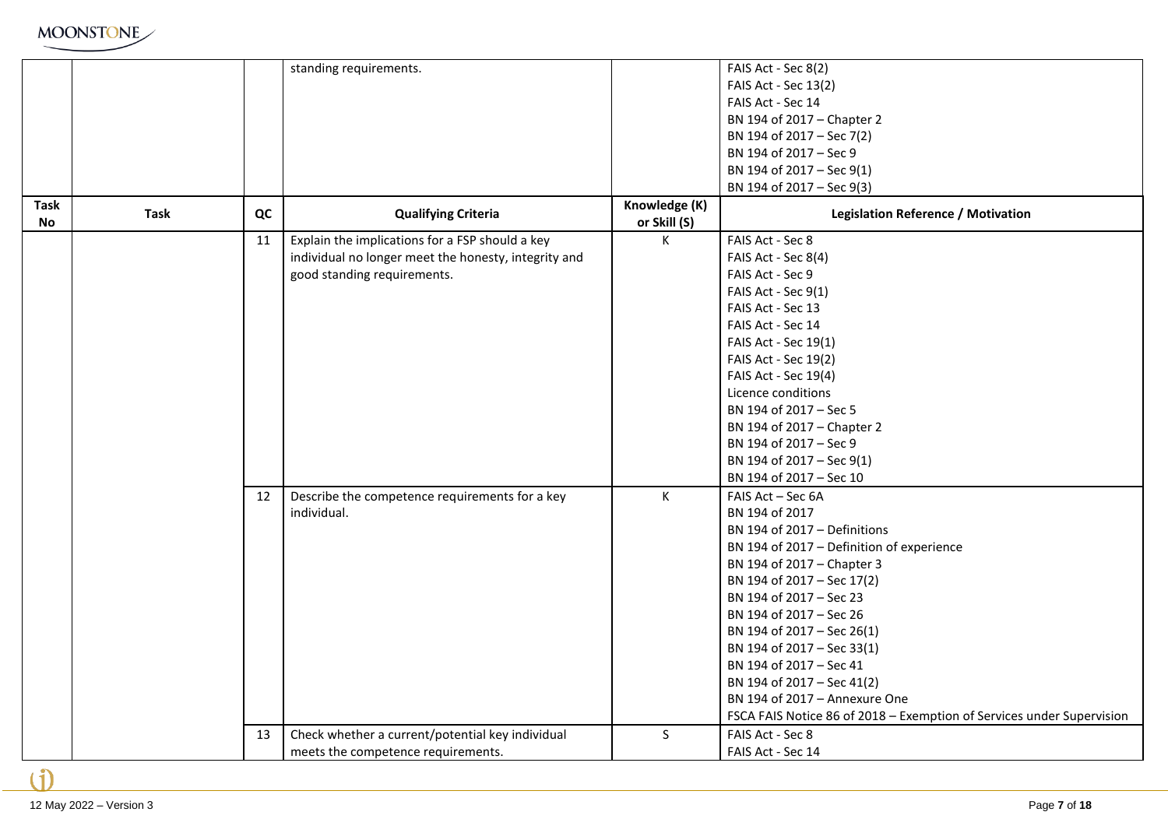

|                   |             |    | standing requirements.                                                                                                                 |                               | FAIS Act - Sec 8(2)<br>FAIS Act - Sec 13(2)<br>FAIS Act - Sec 14<br>BN 194 of 2017 - Chapter 2<br>BN 194 of 2017 - Sec 7(2)<br>BN 194 of 2017 - Sec 9<br>BN 194 of 2017 - Sec 9(1)<br>BN 194 of 2017 - Sec 9(3)                                                                                                                                                                                                                                                   |
|-------------------|-------------|----|----------------------------------------------------------------------------------------------------------------------------------------|-------------------------------|-------------------------------------------------------------------------------------------------------------------------------------------------------------------------------------------------------------------------------------------------------------------------------------------------------------------------------------------------------------------------------------------------------------------------------------------------------------------|
| Task<br><b>No</b> | <b>Task</b> | QC | <b>Qualifying Criteria</b>                                                                                                             | Knowledge (K)<br>or Skill (S) | <b>Legislation Reference / Motivation</b>                                                                                                                                                                                                                                                                                                                                                                                                                         |
|                   |             | 11 | Explain the implications for a FSP should a key<br>individual no longer meet the honesty, integrity and<br>good standing requirements. | K                             | FAIS Act - Sec 8<br>FAIS Act - Sec 8(4)<br>FAIS Act - Sec 9<br>FAIS Act - Sec 9(1)<br>FAIS Act - Sec 13<br>FAIS Act - Sec 14<br>FAIS Act - Sec 19(1)<br>FAIS Act - Sec 19(2)<br>FAIS Act - Sec 19(4)<br>Licence conditions<br>BN 194 of 2017 - Sec 5<br>BN 194 of 2017 - Chapter 2<br>BN 194 of 2017 - Sec 9<br>BN 194 of 2017 - Sec 9(1)<br>BN 194 of 2017 - Sec 10                                                                                              |
|                   |             | 12 | Describe the competence requirements for a key<br>individual.                                                                          | K                             | FAIS Act - Sec 6A<br>BN 194 of 2017<br>BN 194 of 2017 - Definitions<br>BN 194 of 2017 - Definition of experience<br>BN 194 of 2017 - Chapter 3<br>BN 194 of 2017 - Sec 17(2)<br>BN 194 of 2017 - Sec 23<br>BN 194 of 2017 - Sec 26<br>BN 194 of 2017 - Sec 26(1)<br>BN 194 of 2017 - Sec 33(1)<br>BN 194 of 2017 - Sec 41<br>BN 194 of 2017 - Sec 41(2)<br>BN 194 of 2017 - Annexure One<br>FSCA FAIS Notice 86 of 2018 - Exemption of Services under Supervision |
|                   |             | 13 | Check whether a current/potential key individual<br>meets the competence requirements.                                                 | $\mathsf{S}$                  | FAIS Act - Sec 8<br>FAIS Act - Sec 14                                                                                                                                                                                                                                                                                                                                                                                                                             |

۱ĭ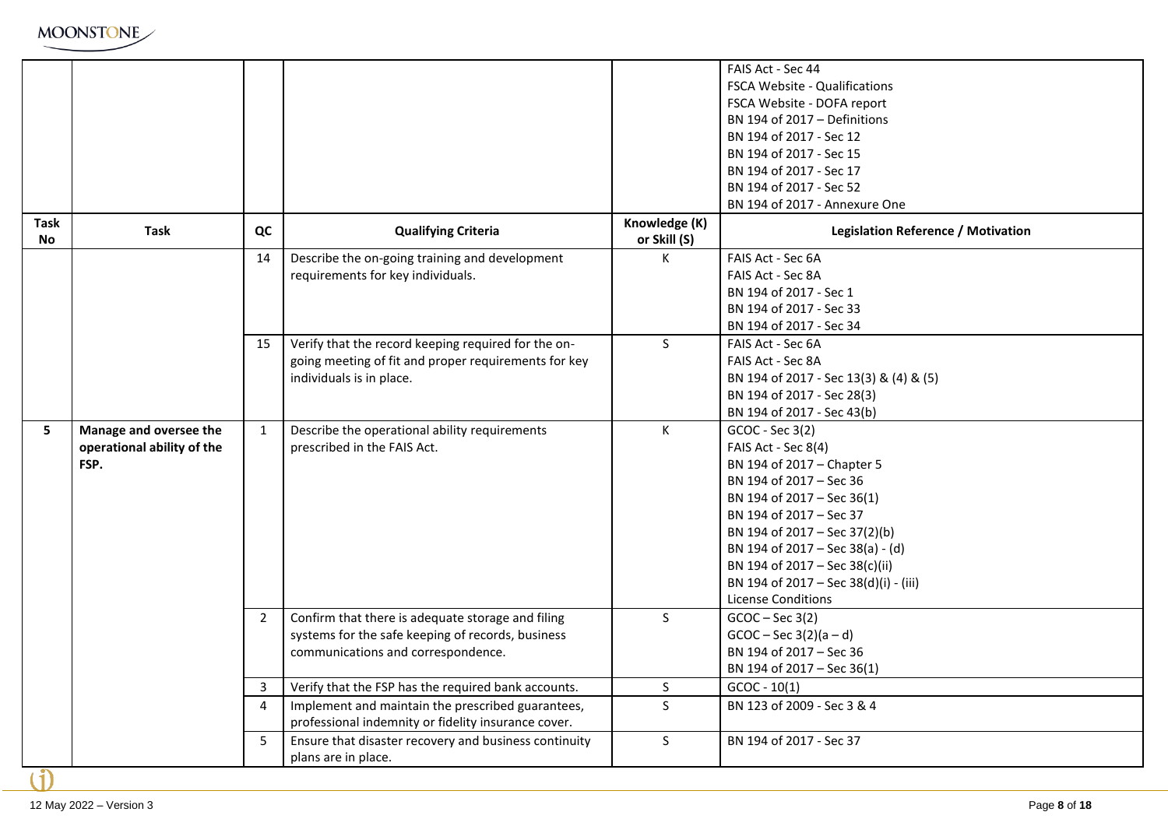|                          |                                                              |                |                                                                                                                                              |                               | FAIS Act - Sec 44<br><b>FSCA Website - Qualifications</b><br>FSCA Website - DOFA report<br>BN 194 of 2017 - Definitions<br>BN 194 of 2017 - Sec 12<br>BN 194 of 2017 - Sec 15                                                                                                                                                         |
|--------------------------|--------------------------------------------------------------|----------------|----------------------------------------------------------------------------------------------------------------------------------------------|-------------------------------|---------------------------------------------------------------------------------------------------------------------------------------------------------------------------------------------------------------------------------------------------------------------------------------------------------------------------------------|
|                          |                                                              |                |                                                                                                                                              |                               | BN 194 of 2017 - Sec 17                                                                                                                                                                                                                                                                                                               |
|                          |                                                              |                |                                                                                                                                              |                               | BN 194 of 2017 - Sec 52<br>BN 194 of 2017 - Annexure One                                                                                                                                                                                                                                                                              |
| <b>Task</b><br><b>No</b> | <b>Task</b>                                                  | QC             | <b>Qualifying Criteria</b>                                                                                                                   | Knowledge (K)<br>or Skill (S) | <b>Legislation Reference / Motivation</b>                                                                                                                                                                                                                                                                                             |
|                          |                                                              | 14             | Describe the on-going training and development<br>requirements for key individuals.                                                          | K.                            | FAIS Act - Sec 6A<br>FAIS Act - Sec 8A<br>BN 194 of 2017 - Sec 1<br>BN 194 of 2017 - Sec 33<br>BN 194 of 2017 - Sec 34                                                                                                                                                                                                                |
|                          |                                                              | 15             | Verify that the record keeping required for the on-<br>going meeting of fit and proper requirements for key<br>individuals is in place.      | S                             | FAIS Act - Sec 6A<br>FAIS Act - Sec 8A<br>BN 194 of 2017 - Sec 13(3) & (4) & (5)<br>BN 194 of 2017 - Sec 28(3)<br>BN 194 of 2017 - Sec 43(b)                                                                                                                                                                                          |
| 5                        | Manage and oversee the<br>operational ability of the<br>FSP. | $\mathbf{1}$   | Describe the operational ability requirements<br>prescribed in the FAIS Act.                                                                 | K                             | GCOC - Sec 3(2)<br>FAIS Act - Sec 8(4)<br>BN 194 of 2017 - Chapter 5<br>BN 194 of 2017 - Sec 36<br>BN 194 of 2017 - Sec 36(1)<br>BN 194 of 2017 - Sec 37<br>BN 194 of 2017 - Sec 37(2)(b)<br>BN 194 of 2017 - Sec 38(a) - (d)<br>BN 194 of 2017 - Sec 38(c)(ii)<br>BN 194 of 2017 - Sec 38(d)(i) - (iii)<br><b>License Conditions</b> |
|                          |                                                              | $\overline{2}$ | Confirm that there is adequate storage and filing<br>systems for the safe keeping of records, business<br>communications and correspondence. | S.                            | $GCOC - Sec 3(2)$<br>$GCOC - Sec 3(2)(a-d)$<br>BN 194 of 2017 - Sec 36<br>BN 194 of 2017 - Sec 36(1)                                                                                                                                                                                                                                  |
|                          |                                                              | 3              | Verify that the FSP has the required bank accounts.                                                                                          | S                             | $GCOC - 10(1)$                                                                                                                                                                                                                                                                                                                        |
|                          |                                                              | 4              | Implement and maintain the prescribed guarantees,<br>professional indemnity or fidelity insurance cover.                                     | S.                            | BN 123 of 2009 - Sec 3 & 4                                                                                                                                                                                                                                                                                                            |
|                          |                                                              | 5              | Ensure that disaster recovery and business continuity<br>plans are in place.                                                                 | S.                            | BN 194 of 2017 - Sec 37                                                                                                                                                                                                                                                                                                               |
| $\mathbf{i}$             |                                                              |                |                                                                                                                                              |                               |                                                                                                                                                                                                                                                                                                                                       |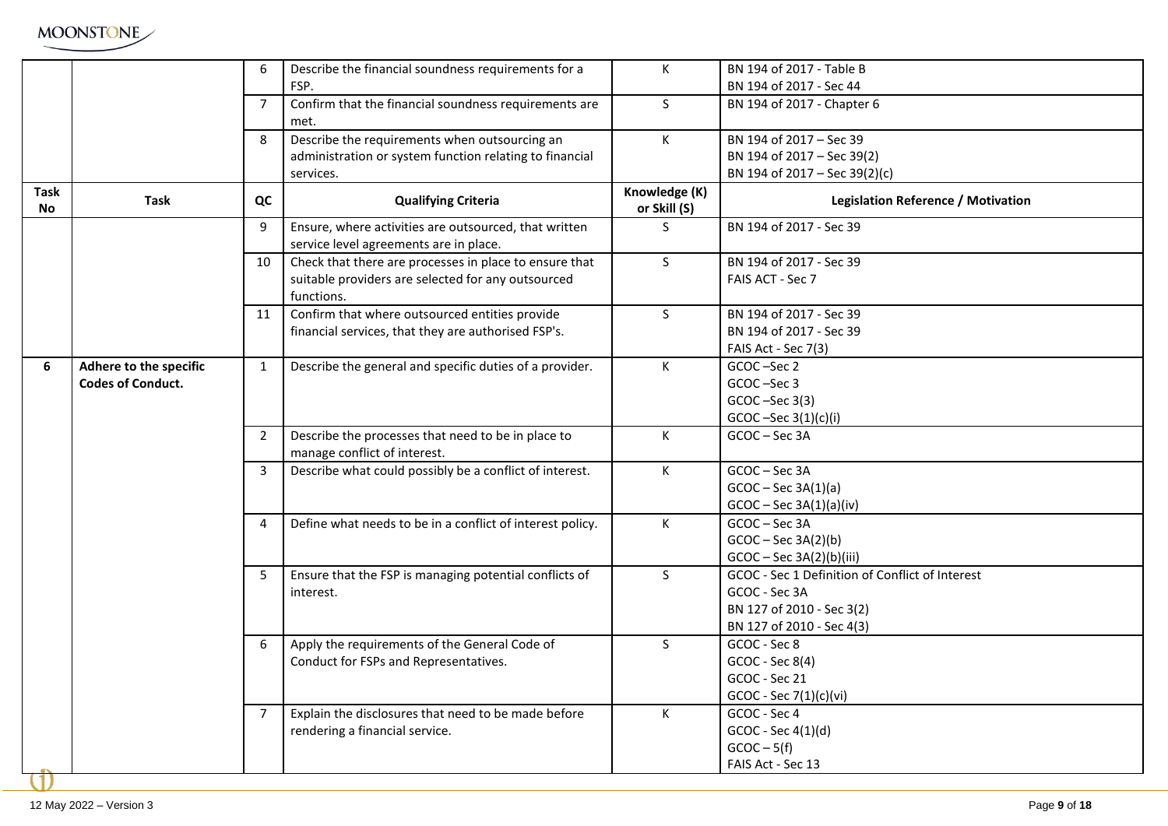

|             |                          | 6            | Describe the financial soundness requirements for a                                             | K                             | BN 194 of 2017 - Table B                        |
|-------------|--------------------------|--------------|-------------------------------------------------------------------------------------------------|-------------------------------|-------------------------------------------------|
|             |                          |              | FSP.                                                                                            |                               | BN 194 of 2017 - Sec 44                         |
|             |                          | 7            | Confirm that the financial soundness requirements are<br>met.                                   | S.                            | BN 194 of 2017 - Chapter 6                      |
|             |                          | 8            | Describe the requirements when outsourcing an                                                   | K.                            | BN 194 of 2017 - Sec 39                         |
|             |                          |              | administration or system function relating to financial                                         |                               | BN 194 of 2017 - Sec 39(2)                      |
|             |                          |              | services.                                                                                       |                               | BN 194 of 2017 - Sec 39(2)(c)                   |
| Task<br>No. | Task                     | QC           | <b>Qualifying Criteria</b>                                                                      | Knowledge (K)<br>or Skill (S) | Legislation Reference / Motivation              |
|             |                          | 9            | Ensure, where activities are outsourced, that written<br>service level agreements are in place. | S.                            | BN 194 of 2017 - Sec 39                         |
|             |                          | 10           | Check that there are processes in place to ensure that                                          | S                             | BN 194 of 2017 - Sec 39                         |
|             |                          |              | suitable providers are selected for any outsourced<br>functions.                                |                               | FAIS ACT - Sec 7                                |
|             |                          | 11           | Confirm that where outsourced entities provide                                                  | S.                            | BN 194 of 2017 - Sec 39                         |
|             |                          |              | financial services, that they are authorised FSP's.                                             |                               | BN 194 of 2017 - Sec 39                         |
|             |                          |              |                                                                                                 |                               | FAIS Act - Sec 7(3)                             |
| 6           | Adhere to the specific   | 1            | Describe the general and specific duties of a provider.                                         | K                             | GCOC-Sec 2                                      |
|             | <b>Codes of Conduct.</b> |              |                                                                                                 |                               | GCOC-Sec 3                                      |
|             |                          |              |                                                                                                 |                               | $GCOC - Sec 3(3)$                               |
|             |                          |              |                                                                                                 |                               | $GCOC - Sec 3(1)(c)(i)$                         |
|             |                          | $\mathbf{2}$ | Describe the processes that need to be in place to<br>manage conflict of interest.              | K                             | GCOC-Sec 3A                                     |
|             |                          | 3            | Describe what could possibly be a conflict of interest.                                         | K                             | GCOC-Sec 3A                                     |
|             |                          |              |                                                                                                 |                               | $GCOC - Sec 3A(1)(a)$                           |
|             |                          |              |                                                                                                 |                               | $GCOC - Sec 3A(1)(a)(iv)$                       |
|             |                          | 4            | Define what needs to be in a conflict of interest policy.                                       | K                             | GCOC-Sec 3A                                     |
|             |                          |              |                                                                                                 |                               | $GCOC - Sec 3A(2)(b)$                           |
|             |                          |              |                                                                                                 |                               | $GCOC - Sec 3A(2)(b)(iii)$                      |
|             |                          | 5            | Ensure that the FSP is managing potential conflicts of                                          | S.                            | GCOC - Sec 1 Definition of Conflict of Interest |
|             |                          |              | interest.                                                                                       |                               | GCOC - Sec 3A                                   |
|             |                          |              |                                                                                                 |                               | BN 127 of 2010 - Sec 3(2)                       |
|             |                          |              |                                                                                                 |                               | BN 127 of 2010 - Sec 4(3)                       |
|             |                          | 6            | Apply the requirements of the General Code of                                                   | S.                            | GCOC - Sec 8                                    |
|             |                          |              | Conduct for FSPs and Representatives.                                                           |                               | GCOC - Sec 8(4)                                 |
|             |                          |              |                                                                                                 |                               | GCOC - Sec 21                                   |
|             |                          |              |                                                                                                 |                               | GCOC - Sec 7(1)(c)(vi)                          |
|             |                          |              | Explain the disclosures that need to be made before                                             | K.                            | GCOC - Sec 4                                    |
|             |                          |              | rendering a financial service.                                                                  |                               | GCOC - Sec 4(1)(d)                              |
|             |                          |              |                                                                                                 |                               | $GCOC - 5(f)$                                   |
|             |                          |              |                                                                                                 |                               | FAIS Act - Sec 13                               |
|             |                          |              |                                                                                                 |                               |                                                 |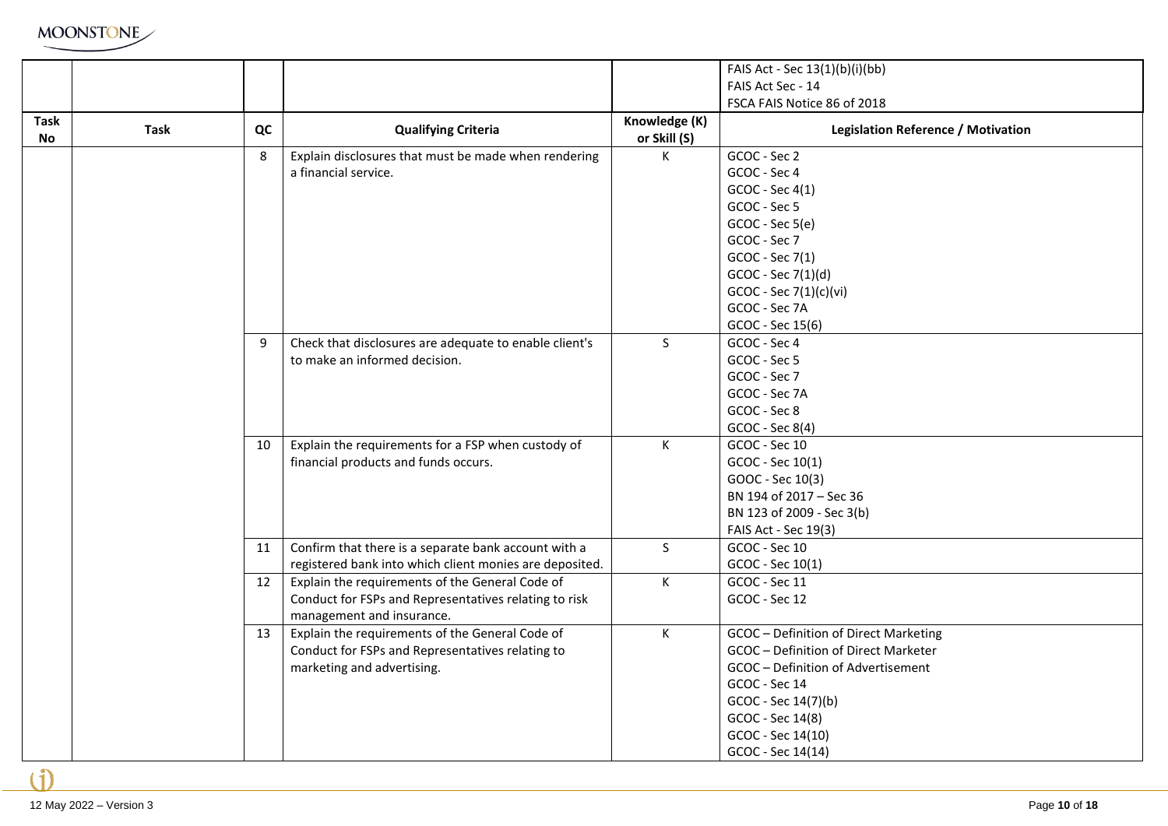|                   |             |    |                                                         |                               | FAIS Act - Sec 13(1)(b)(i)(bb)            |
|-------------------|-------------|----|---------------------------------------------------------|-------------------------------|-------------------------------------------|
|                   |             |    |                                                         |                               | FAIS Act Sec - 14                         |
|                   |             |    |                                                         |                               | FSCA FAIS Notice 86 of 2018               |
| <b>Task</b><br>No | <b>Task</b> | QC | <b>Qualifying Criteria</b>                              | Knowledge (K)<br>or Skill (S) | <b>Legislation Reference / Motivation</b> |
|                   |             | 8  | Explain disclosures that must be made when rendering    | K                             | GCOC - Sec 2                              |
|                   |             |    | a financial service.                                    |                               | GCOC - Sec 4                              |
|                   |             |    |                                                         |                               | GCOC - Sec 4(1)                           |
|                   |             |    |                                                         |                               | GCOC - Sec 5                              |
|                   |             |    |                                                         |                               | GCOC - Sec 5(e)                           |
|                   |             |    |                                                         |                               | GCOC - Sec 7                              |
|                   |             |    |                                                         |                               | GCOC - Sec 7(1)                           |
|                   |             |    |                                                         |                               | GCOC - Sec 7(1)(d)                        |
|                   |             |    |                                                         |                               | GCOC - Sec 7(1)(c)(vi)                    |
|                   |             |    |                                                         |                               | GCOC - Sec 7A                             |
|                   |             |    |                                                         |                               | GCOC - Sec 15(6)                          |
|                   |             | 9  | Check that disclosures are adequate to enable client's  | $\mathsf{S}$                  | GCOC - Sec 4                              |
|                   |             |    | to make an informed decision.                           |                               | GCOC - Sec 5                              |
|                   |             |    |                                                         |                               | GCOC - Sec 7                              |
|                   |             |    |                                                         |                               | GCOC - Sec 7A                             |
|                   |             |    |                                                         |                               | GCOC - Sec 8                              |
|                   |             |    |                                                         |                               | GCOC - Sec 8(4)                           |
|                   |             | 10 | Explain the requirements for a FSP when custody of      | $\mathsf{K}$                  | GCOC - Sec 10                             |
|                   |             |    | financial products and funds occurs.                    |                               | GCOC - Sec 10(1)                          |
|                   |             |    |                                                         |                               | GOOC - Sec 10(3)                          |
|                   |             |    |                                                         |                               | BN 194 of 2017 - Sec 36                   |
|                   |             |    |                                                         |                               | BN 123 of 2009 - Sec 3(b)                 |
|                   |             |    |                                                         |                               | FAIS Act - Sec 19(3)                      |
|                   |             | 11 | Confirm that there is a separate bank account with a    | S                             | GCOC - Sec 10                             |
|                   |             |    | registered bank into which client monies are deposited. |                               | GCOC - Sec 10(1)                          |
|                   |             | 12 | Explain the requirements of the General Code of         | K                             | GCOC - Sec 11                             |
|                   |             |    | Conduct for FSPs and Representatives relating to risk   |                               | GCOC - Sec 12                             |
|                   |             |    | management and insurance.                               |                               |                                           |
|                   |             | 13 | Explain the requirements of the General Code of         | $\mathsf{K}^-$                | GCOC - Definition of Direct Marketing     |
|                   |             |    | Conduct for FSPs and Representatives relating to        |                               | GCOC - Definition of Direct Marketer      |
|                   |             |    | marketing and advertising.                              |                               | GCOC - Definition of Advertisement        |
|                   |             |    |                                                         |                               | GCOC - Sec 14                             |
|                   |             |    |                                                         |                               | GCOC - Sec 14(7)(b)                       |
|                   |             |    |                                                         |                               | GCOC - Sec 14(8)                          |
|                   |             |    |                                                         |                               | GCOC - Sec 14(10)                         |
|                   |             |    |                                                         |                               | GCOC - Sec 14(14)                         |

 $\mathbf{f}$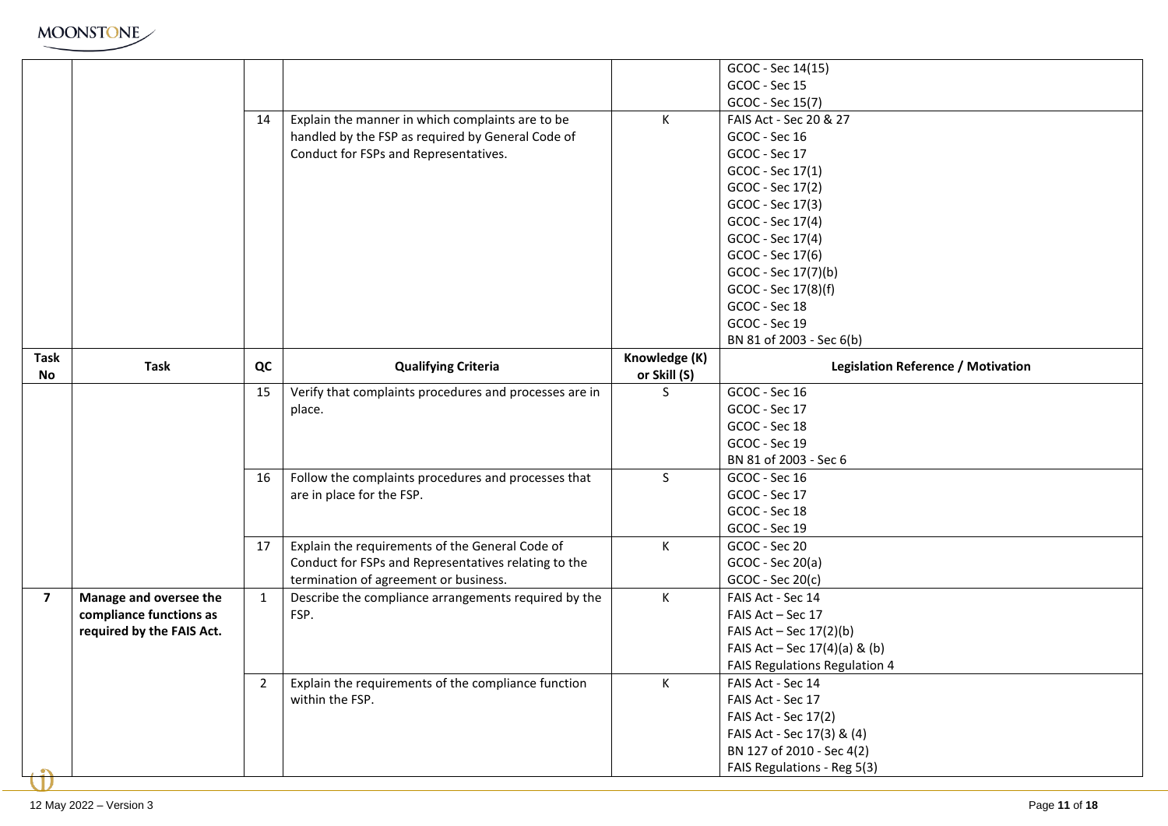

|                |                           |              |                                                        |               | GCOC - Sec 14(15)                         |
|----------------|---------------------------|--------------|--------------------------------------------------------|---------------|-------------------------------------------|
|                |                           |              |                                                        |               | GCOC - Sec 15                             |
|                |                           |              |                                                        |               | GCOC - Sec 15(7)                          |
|                |                           | 14           | Explain the manner in which complaints are to be       | K             | FAIS Act - Sec 20 & 27                    |
|                |                           |              | handled by the FSP as required by General Code of      |               | GCOC - Sec 16                             |
|                |                           |              | Conduct for FSPs and Representatives.                  |               | GCOC - Sec 17                             |
|                |                           |              |                                                        |               | GCOC - Sec 17(1)                          |
|                |                           |              |                                                        |               | GCOC - Sec 17(2)                          |
|                |                           |              |                                                        |               | GCOC - Sec 17(3)                          |
|                |                           |              |                                                        |               | GCOC - Sec 17(4)                          |
|                |                           |              |                                                        |               | GCOC - Sec 17(4)                          |
|                |                           |              |                                                        |               | GCOC - Sec 17(6)                          |
|                |                           |              |                                                        |               | GCOC - Sec 17(7)(b)                       |
|                |                           |              |                                                        |               | GCOC - Sec 17(8)(f)                       |
|                |                           |              |                                                        |               | GCOC - Sec 18                             |
|                |                           |              |                                                        |               | GCOC - Sec 19                             |
|                |                           |              |                                                        |               | BN 81 of 2003 - Sec 6(b)                  |
| Task           |                           |              |                                                        | Knowledge (K) |                                           |
| No             | <b>Task</b>               | QC           | <b>Qualifying Criteria</b>                             | or Skill (S)  | <b>Legislation Reference / Motivation</b> |
|                |                           | 15           | Verify that complaints procedures and processes are in | S.            | GCOC - Sec 16                             |
|                |                           |              | place.                                                 |               | GCOC - Sec 17                             |
|                |                           |              |                                                        |               | GCOC - Sec 18                             |
|                |                           |              |                                                        |               | GCOC - Sec 19                             |
|                |                           |              |                                                        |               | BN 81 of 2003 - Sec 6                     |
|                |                           | 16           | Follow the complaints procedures and processes that    | $\mathsf{S}$  | GCOC - Sec 16                             |
|                |                           |              | are in place for the FSP.                              |               | GCOC - Sec 17                             |
|                |                           |              |                                                        |               | GCOC - Sec 18                             |
|                |                           |              |                                                        |               | GCOC - Sec 19                             |
|                |                           | 17           | Explain the requirements of the General Code of        | K             | GCOC - Sec 20                             |
|                |                           |              | Conduct for FSPs and Representatives relating to the   |               | GCOC - Sec 20(a)                          |
|                |                           |              | termination of agreement or business.                  |               | $GCOC - Sec 20(c)$                        |
| $\overline{7}$ | Manage and oversee the    | $\mathbf{1}$ | Describe the compliance arrangements required by the   | K             | FAIS Act - Sec 14                         |
|                | compliance functions as   |              | FSP.                                                   |               | FAIS Act - Sec 17                         |
|                | required by the FAIS Act. |              |                                                        |               | FAIS Act - Sec $17(2)(b)$                 |
|                |                           |              |                                                        |               | FAIS Act – Sec $17(4)(a)$ & (b)           |
|                |                           |              |                                                        |               | FAIS Regulations Regulation 4             |
|                |                           | 2            | Explain the requirements of the compliance function    | K             | FAIS Act - Sec 14                         |
|                |                           |              | within the FSP.                                        |               | FAIS Act - Sec 17                         |
|                |                           |              |                                                        |               | FAIS Act - Sec 17(2)                      |
|                |                           |              |                                                        |               | FAIS Act - Sec 17(3) & (4)                |
|                |                           |              |                                                        |               | BN 127 of 2010 - Sec 4(2)                 |
|                |                           |              |                                                        |               | FAIS Regulations - Reg 5(3)               |
|                |                           |              |                                                        |               |                                           |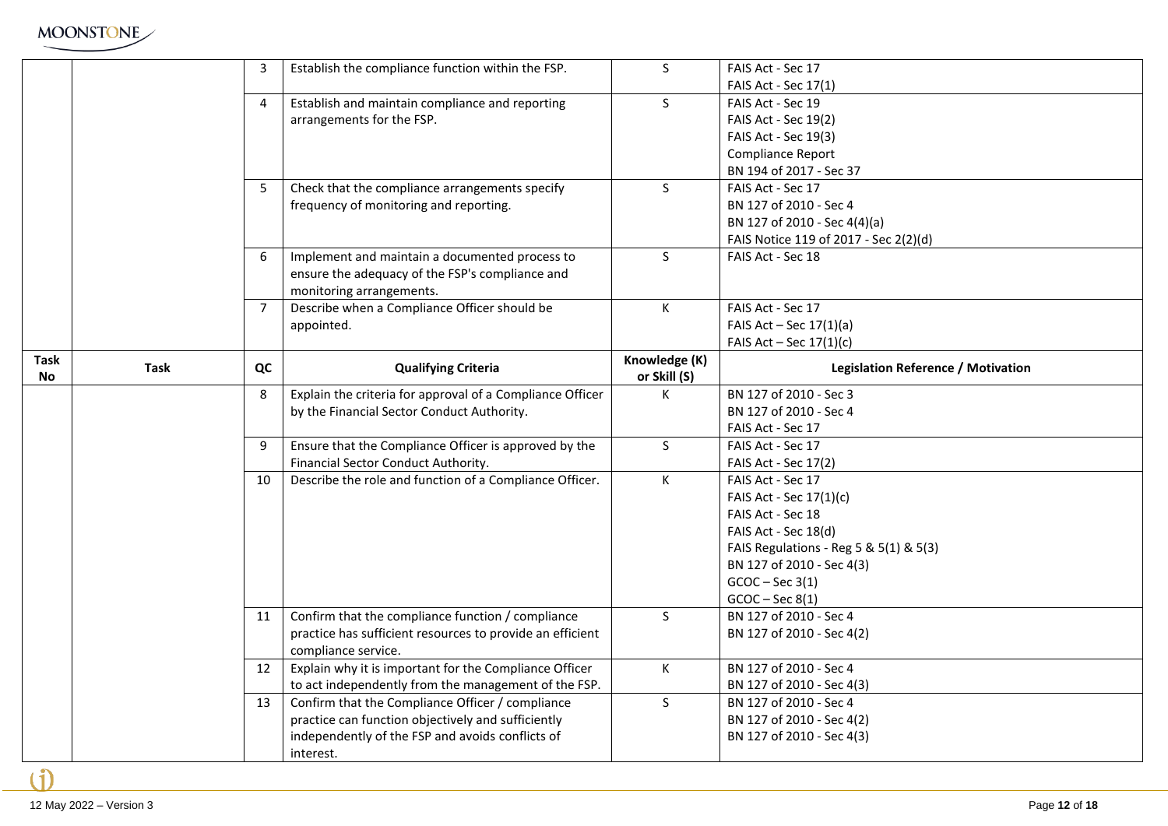

|           |      | 3              | Establish the compliance function within the FSP.         | S             | FAIS Act - Sec 17                         |
|-----------|------|----------------|-----------------------------------------------------------|---------------|-------------------------------------------|
|           |      |                |                                                           |               | FAIS Act - Sec 17(1)                      |
|           |      | 4              | Establish and maintain compliance and reporting           | $\mathsf{S}$  | FAIS Act - Sec 19                         |
|           |      |                | arrangements for the FSP.                                 |               | <b>FAIS Act - Sec 19(2)</b>               |
|           |      |                |                                                           |               | FAIS Act - Sec 19(3)                      |
|           |      |                |                                                           |               | <b>Compliance Report</b>                  |
|           |      |                |                                                           |               | BN 194 of 2017 - Sec 37                   |
|           |      | -5             | Check that the compliance arrangements specify            | S.            | FAIS Act - Sec 17                         |
|           |      |                | frequency of monitoring and reporting.                    |               | BN 127 of 2010 - Sec 4                    |
|           |      |                |                                                           |               | BN 127 of 2010 - Sec 4(4)(a)              |
|           |      |                |                                                           |               | FAIS Notice 119 of 2017 - Sec 2(2)(d)     |
|           |      | 6              | Implement and maintain a documented process to            | S             | FAIS Act - Sec 18                         |
|           |      |                | ensure the adequacy of the FSP's compliance and           |               |                                           |
|           |      |                | monitoring arrangements.                                  |               |                                           |
|           |      | $\overline{7}$ | Describe when a Compliance Officer should be              | K.            | FAIS Act - Sec 17                         |
|           |      |                | appointed.                                                |               | FAIS Act - Sec $17(1)(a)$                 |
|           |      |                |                                                           |               | FAIS Act - Sec $17(1)(c)$                 |
| Task      |      |                |                                                           | Knowledge (K) |                                           |
| <b>No</b> | Task | QC             | <b>Qualifying Criteria</b>                                | or Skill (S)  | <b>Legislation Reference / Motivation</b> |
|           |      | 8              | Explain the criteria for approval of a Compliance Officer | K             | BN 127 of 2010 - Sec 3                    |
|           |      |                | by the Financial Sector Conduct Authority.                |               | BN 127 of 2010 - Sec 4                    |
|           |      |                |                                                           |               | FAIS Act - Sec 17                         |
|           |      | 9              | Ensure that the Compliance Officer is approved by the     | S             | FAIS Act - Sec 17                         |
|           |      |                | Financial Sector Conduct Authority.                       |               | FAIS Act - Sec 17(2)                      |
|           |      | 10             | Describe the role and function of a Compliance Officer.   | K.            | FAIS Act - Sec 17                         |
|           |      |                |                                                           |               | FAIS Act - Sec 17(1)(c)                   |
|           |      |                |                                                           |               | FAIS Act - Sec 18                         |
|           |      |                |                                                           |               | FAIS Act - Sec 18(d)                      |
|           |      |                |                                                           |               | FAIS Regulations - Reg 5 & 5(1) & 5(3)    |
|           |      |                |                                                           |               | BN 127 of 2010 - Sec 4(3)                 |
|           |      |                |                                                           |               | $GCOC - Sec 3(1)$                         |
|           |      |                |                                                           |               | $GCOC - Sec 8(1)$                         |
|           |      | 11             | Confirm that the compliance function / compliance         | S             | BN 127 of 2010 - Sec 4                    |
|           |      |                | practice has sufficient resources to provide an efficient |               | BN 127 of 2010 - Sec 4(2)                 |
|           |      |                | compliance service.                                       |               |                                           |
|           |      | 12             | Explain why it is important for the Compliance Officer    | K             | BN 127 of 2010 - Sec 4                    |
|           |      |                | to act independently from the management of the FSP.      |               | BN 127 of 2010 - Sec 4(3)                 |
|           |      | 13             | Confirm that the Compliance Officer / compliance          | S             | BN 127 of 2010 - Sec 4                    |
|           |      |                | practice can function objectively and sufficiently        |               | BN 127 of 2010 - Sec 4(2)                 |
|           |      |                | independently of the FSP and avoids conflicts of          |               | BN 127 of 2010 - Sec 4(3)                 |
|           |      |                |                                                           |               |                                           |
|           |      |                | interest.                                                 |               |                                           |

÷.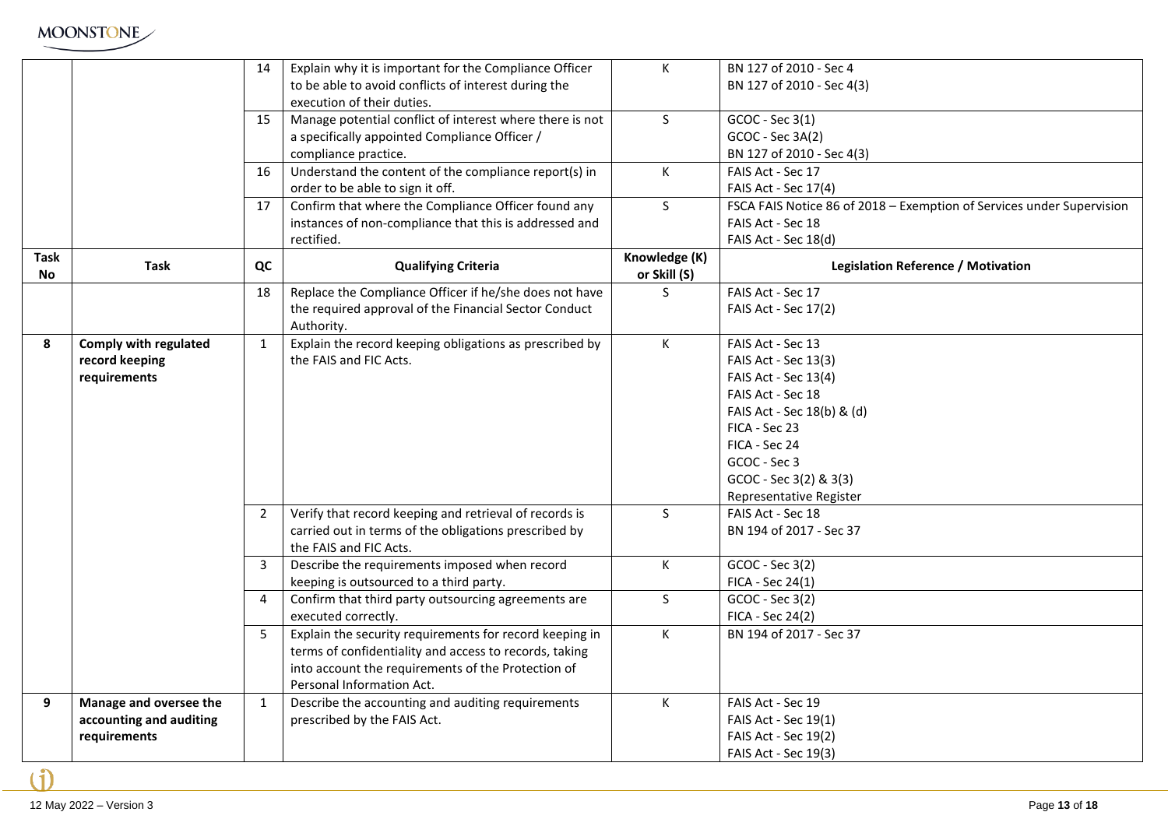

|             |                         | 14             | Explain why it is important for the Compliance Officer   | $\mathsf{K}$   | BN 127 of 2010 - Sec 4                                                |
|-------------|-------------------------|----------------|----------------------------------------------------------|----------------|-----------------------------------------------------------------------|
|             |                         |                | to be able to avoid conflicts of interest during the     |                | BN 127 of 2010 - Sec 4(3)                                             |
|             |                         |                | execution of their duties.                               |                |                                                                       |
|             |                         | 15             | Manage potential conflict of interest where there is not | S              | GCOC - Sec 3(1)                                                       |
|             |                         |                | a specifically appointed Compliance Officer /            |                | GCOC - Sec 3A(2)                                                      |
|             |                         |                | compliance practice.                                     |                | BN 127 of 2010 - Sec 4(3)                                             |
|             |                         | 16             | Understand the content of the compliance report(s) in    | $\mathsf{K}^-$ | FAIS Act - Sec 17                                                     |
|             |                         |                | order to be able to sign it off.                         |                | FAIS Act - Sec 17(4)                                                  |
|             |                         | 17             | Confirm that where the Compliance Officer found any      | $\mathsf{S}$   | FSCA FAIS Notice 86 of 2018 - Exemption of Services under Supervision |
|             |                         |                | instances of non-compliance that this is addressed and   |                | FAIS Act - Sec 18                                                     |
|             |                         |                | rectified.                                               |                | FAIS Act - Sec 18(d)                                                  |
| <b>Task</b> | <b>Task</b>             | QC             | <b>Qualifying Criteria</b>                               | Knowledge (K)  | <b>Legislation Reference / Motivation</b>                             |
| No          |                         |                |                                                          | or Skill (S)   |                                                                       |
|             |                         | 18             | Replace the Compliance Officer if he/she does not have   | S.             | FAIS Act - Sec 17                                                     |
|             |                         |                | the required approval of the Financial Sector Conduct    |                | FAIS Act - Sec 17(2)                                                  |
|             |                         |                | Authority.                                               |                |                                                                       |
| 8           | Comply with regulated   | $\mathbf{1}$   | Explain the record keeping obligations as prescribed by  | K              | FAIS Act - Sec 13                                                     |
|             | record keeping          |                | the FAIS and FIC Acts.                                   |                | FAIS Act - Sec 13(3)                                                  |
|             | requirements            |                |                                                          |                | FAIS Act - Sec 13(4)                                                  |
|             |                         |                |                                                          |                | FAIS Act - Sec 18                                                     |
|             |                         |                |                                                          |                | FAIS Act - Sec 18(b) & (d)                                            |
|             |                         |                |                                                          |                | FICA - Sec 23                                                         |
|             |                         |                |                                                          |                | FICA - Sec 24                                                         |
|             |                         |                |                                                          |                | GCOC - Sec 3                                                          |
|             |                         |                |                                                          |                | GCOC - Sec 3(2) & 3(3)                                                |
|             |                         |                |                                                          |                | Representative Register                                               |
|             |                         | $\overline{2}$ | Verify that record keeping and retrieval of records is   | S              | FAIS Act - Sec 18                                                     |
|             |                         |                | carried out in terms of the obligations prescribed by    |                | BN 194 of 2017 - Sec 37                                               |
|             |                         |                | the FAIS and FIC Acts.                                   |                |                                                                       |
|             |                         | 3              | Describe the requirements imposed when record            | K              | GCOC - Sec 3(2)                                                       |
|             |                         |                | keeping is outsourced to a third party.                  |                | FICA - Sec 24(1)                                                      |
|             |                         | $\overline{4}$ | Confirm that third party outsourcing agreements are      | S              | GCOC - Sec 3(2)                                                       |
|             |                         |                | executed correctly.                                      |                | FICA - Sec 24(2)                                                      |
|             |                         | 5              | Explain the security requirements for record keeping in  | $\mathsf{K}^-$ | BN 194 of 2017 - Sec 37                                               |
|             |                         |                | terms of confidentiality and access to records, taking   |                |                                                                       |
|             |                         |                | into account the requirements of the Protection of       |                |                                                                       |
|             |                         |                | Personal Information Act.                                |                |                                                                       |
| 9           | Manage and oversee the  | $\mathbf{1}$   | Describe the accounting and auditing requirements        | $\mathsf{K}$   | FAIS Act - Sec 19                                                     |
|             | accounting and auditing |                | prescribed by the FAIS Act.                              |                | FAIS Act - Sec 19(1)                                                  |
|             | requirements            |                |                                                          |                | FAIS Act - Sec 19(2)                                                  |
|             |                         |                |                                                          |                | FAIS Act - Sec 19(3)                                                  |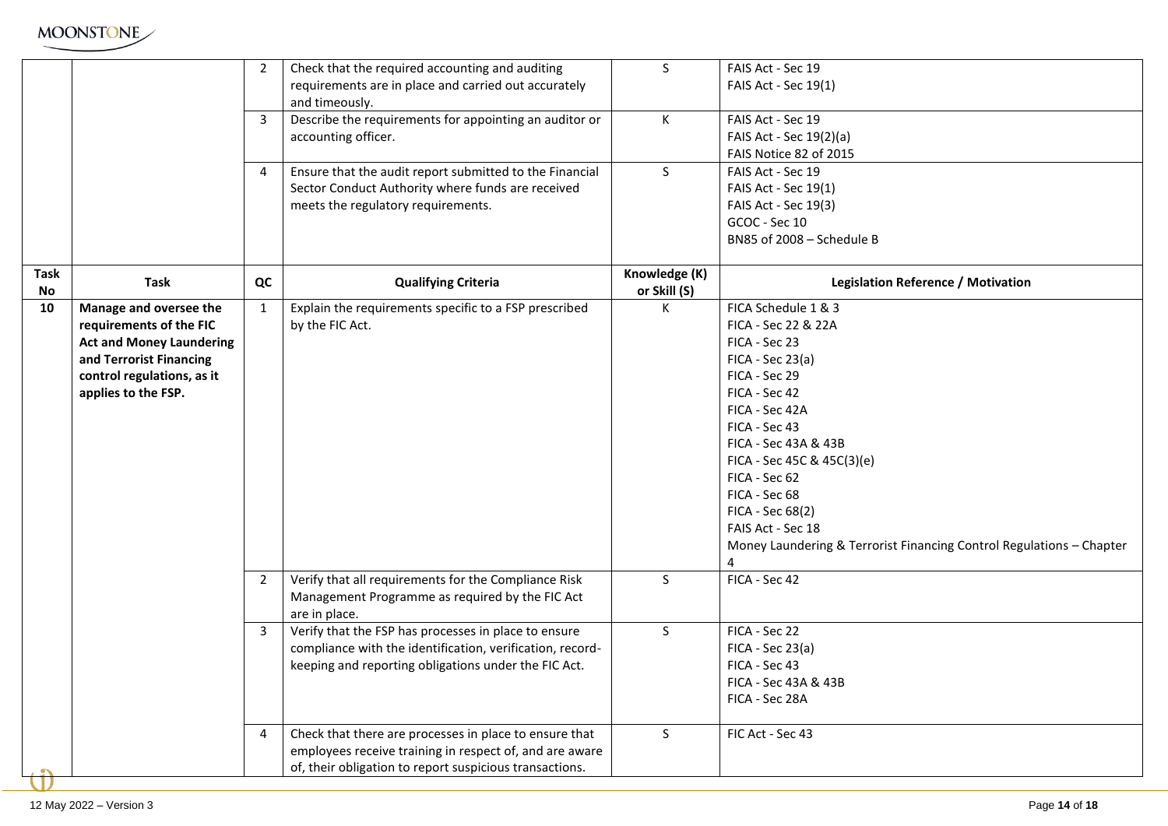

|            |                                 | $\overline{2}$ | Check that the required accounting and auditing           | $\mathsf{S}$                  | FAIS Act - Sec 19                                                    |
|------------|---------------------------------|----------------|-----------------------------------------------------------|-------------------------------|----------------------------------------------------------------------|
|            |                                 |                | requirements are in place and carried out accurately      |                               | FAIS Act - Sec 19(1)                                                 |
|            |                                 |                | and timeously.                                            |                               |                                                                      |
|            |                                 | $\overline{3}$ | Describe the requirements for appointing an auditor or    | K                             | FAIS Act - Sec 19                                                    |
|            |                                 |                | accounting officer.                                       |                               | FAIS Act - Sec 19(2)(a)                                              |
|            |                                 |                |                                                           |                               | FAIS Notice 82 of 2015                                               |
|            |                                 | 4              | Ensure that the audit report submitted to the Financial   | $\mathsf{S}$                  | FAIS Act - Sec 19                                                    |
|            |                                 |                | Sector Conduct Authority where funds are received         |                               | FAIS Act - Sec 19(1)                                                 |
|            |                                 |                |                                                           |                               |                                                                      |
|            |                                 |                | meets the regulatory requirements.                        |                               | FAIS Act - Sec 19(3)                                                 |
|            |                                 |                |                                                           |                               | GCOC - Sec 10                                                        |
|            |                                 |                |                                                           |                               | BN85 of 2008 - Schedule B                                            |
| Task<br>No | <b>Task</b>                     | QC             | <b>Qualifying Criteria</b>                                | Knowledge (K)<br>or Skill (S) | <b>Legislation Reference / Motivation</b>                            |
| 10         | Manage and oversee the          | 1              | Explain the requirements specific to a FSP prescribed     | K.                            | FICA Schedule 1 & 3                                                  |
|            | requirements of the FIC         |                | by the FIC Act.                                           |                               | FICA - Sec 22 & 22A                                                  |
|            |                                 |                |                                                           |                               |                                                                      |
|            | <b>Act and Money Laundering</b> |                |                                                           |                               | FICA - Sec 23                                                        |
|            | and Terrorist Financing         |                |                                                           |                               | $FICA - Sec 23(a)$                                                   |
|            | control regulations, as it      |                |                                                           |                               | FICA - Sec 29                                                        |
|            | applies to the FSP.             |                |                                                           |                               | FICA - Sec 42                                                        |
|            |                                 |                |                                                           |                               | FICA - Sec 42A                                                       |
|            |                                 |                |                                                           |                               | FICA - Sec 43                                                        |
|            |                                 |                |                                                           |                               | FICA - Sec 43A & 43B                                                 |
|            |                                 |                |                                                           |                               | FICA - Sec 45C & 45C(3)(e)                                           |
|            |                                 |                |                                                           |                               | FICA - Sec 62                                                        |
|            |                                 |                |                                                           |                               | FICA - Sec 68                                                        |
|            |                                 |                |                                                           |                               | FICA - Sec 68(2)                                                     |
|            |                                 |                |                                                           |                               | FAIS Act - Sec 18                                                    |
|            |                                 |                |                                                           |                               | Money Laundering & Terrorist Financing Control Regulations - Chapter |
|            |                                 |                |                                                           |                               | 4                                                                    |
|            |                                 | $\overline{2}$ | Verify that all requirements for the Compliance Risk      | $\mathsf{S}$                  | FICA - Sec 42                                                        |
|            |                                 |                | Management Programme as required by the FIC Act           |                               |                                                                      |
|            |                                 |                | are in place.                                             |                               |                                                                      |
|            |                                 | 3              | Verify that the FSP has processes in place to ensure      | S                             | FICA - Sec 22                                                        |
|            |                                 |                | compliance with the identification, verification, record- |                               | $FICA - Sec 23(a)$                                                   |
|            |                                 |                | keeping and reporting obligations under the FIC Act.      |                               | FICA - Sec 43                                                        |
|            |                                 |                |                                                           |                               | FICA - Sec 43A & 43B                                                 |
|            |                                 |                |                                                           |                               | FICA - Sec 28A                                                       |
|            |                                 |                |                                                           |                               |                                                                      |
|            |                                 | 4              | Check that there are processes in place to ensure that    | S                             | FIC Act - Sec 43                                                     |
|            |                                 |                | employees receive training in respect of, and are aware   |                               |                                                                      |
|            |                                 |                | of, their obligation to report suspicious transactions.   |                               |                                                                      |
|            |                                 |                |                                                           |                               |                                                                      |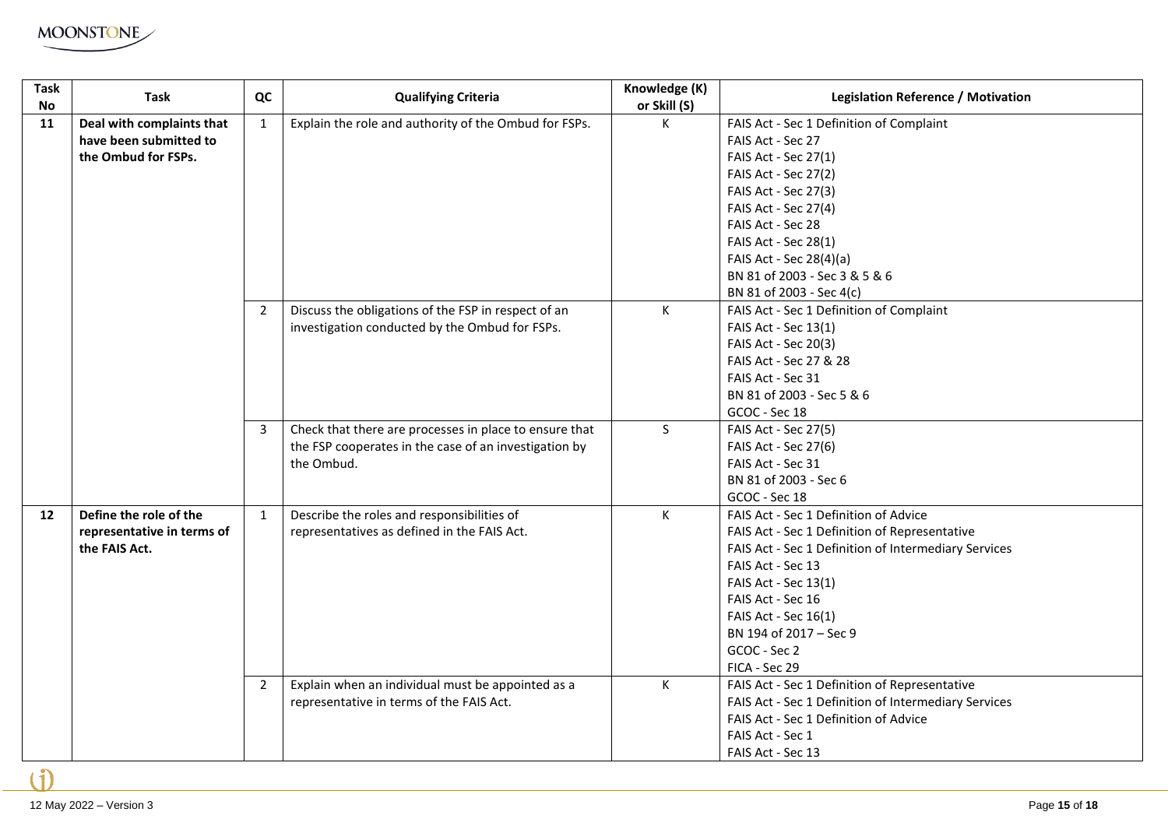

| <b>Task</b><br><b>No</b> | <b>Task</b>                                                                | QC             | <b>Qualifying Criteria</b>                                                                                      | Knowledge (K)<br>or Skill (S) | <b>Legislation Reference / Motivation</b>                                                                                                                                                                                                                          |
|--------------------------|----------------------------------------------------------------------------|----------------|-----------------------------------------------------------------------------------------------------------------|-------------------------------|--------------------------------------------------------------------------------------------------------------------------------------------------------------------------------------------------------------------------------------------------------------------|
| 11                       | Deal with complaints that<br>have been submitted to<br>the Ombud for FSPs. | 1              | Explain the role and authority of the Ombud for FSPs.                                                           | К                             | FAIS Act - Sec 1 Definition of Complaint<br>FAIS Act - Sec 27<br>FAIS Act - Sec 27(1)                                                                                                                                                                              |
|                          |                                                                            |                |                                                                                                                 |                               | FAIS Act - Sec 27(2)<br>FAIS Act - Sec 27(3)                                                                                                                                                                                                                       |
|                          |                                                                            |                |                                                                                                                 |                               | FAIS Act - Sec 27(4)<br>FAIS Act - Sec 28                                                                                                                                                                                                                          |
|                          |                                                                            |                |                                                                                                                 |                               | FAIS Act - Sec 28(1)<br>FAIS Act - Sec 28(4)(a)                                                                                                                                                                                                                    |
|                          |                                                                            |                |                                                                                                                 |                               | BN 81 of 2003 - Sec 3 & 5 & 6<br>BN 81 of 2003 - Sec 4(c)                                                                                                                                                                                                          |
|                          |                                                                            | $\overline{2}$ | Discuss the obligations of the FSP in respect of an<br>investigation conducted by the Ombud for FSPs.           | К                             | FAIS Act - Sec 1 Definition of Complaint<br>FAIS Act - Sec 13(1)                                                                                                                                                                                                   |
|                          |                                                                            |                |                                                                                                                 |                               | FAIS Act - Sec 20(3)<br>FAIS Act - Sec 27 & 28                                                                                                                                                                                                                     |
|                          |                                                                            |                |                                                                                                                 |                               | FAIS Act - Sec 31<br>BN 81 of 2003 - Sec 5 & 6<br>GCOC - Sec 18                                                                                                                                                                                                    |
|                          |                                                                            | 3              | Check that there are processes in place to ensure that<br>the FSP cooperates in the case of an investigation by | S.                            | FAIS Act - Sec 27(5)<br>FAIS Act - Sec 27(6)                                                                                                                                                                                                                       |
|                          |                                                                            |                | the Ombud.                                                                                                      |                               | FAIS Act - Sec 31<br>BN 81 of 2003 - Sec 6<br>GCOC - Sec 18                                                                                                                                                                                                        |
| 12                       | Define the role of the<br>representative in terms of<br>the FAIS Act.      | $\mathbf{1}$   | Describe the roles and responsibilities of<br>representatives as defined in the FAIS Act.                       | K                             | FAIS Act - Sec 1 Definition of Advice<br>FAIS Act - Sec 1 Definition of Representative<br>FAIS Act - Sec 1 Definition of Intermediary Services<br>FAIS Act - Sec 13<br>FAIS Act - Sec 13(1)<br>FAIS Act - Sec 16<br>FAIS Act - Sec 16(1)<br>BN 194 of 2017 - Sec 9 |
|                          |                                                                            |                |                                                                                                                 |                               | GCOC - Sec 2<br>FICA - Sec 29                                                                                                                                                                                                                                      |
|                          |                                                                            | $\overline{2}$ | Explain when an individual must be appointed as a<br>representative in terms of the FAIS Act.                   | К                             | FAIS Act - Sec 1 Definition of Representative<br>FAIS Act - Sec 1 Definition of Intermediary Services<br>FAIS Act - Sec 1 Definition of Advice<br>FAIS Act - Sec 1<br>FAIS Act - Sec 13                                                                            |

۱ĭ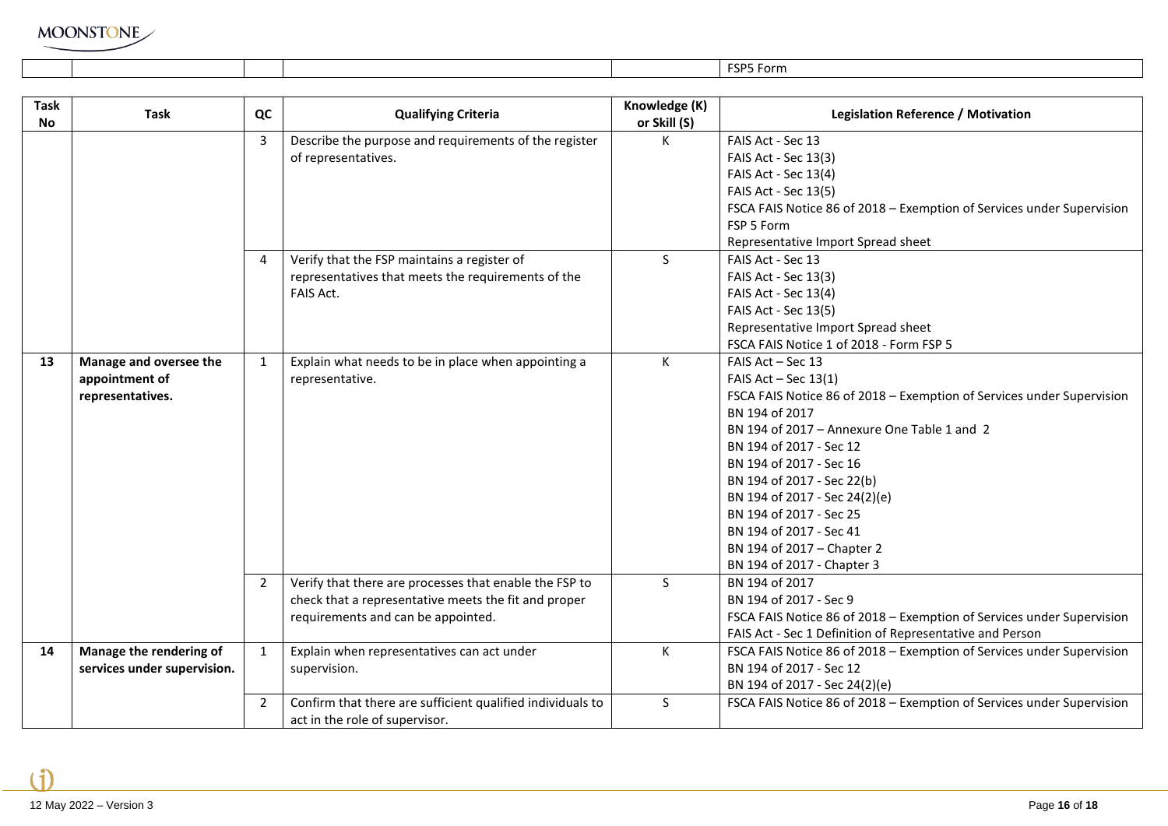|           |      |    |                                                       |               | FSP5 Form                                                             |
|-----------|------|----|-------------------------------------------------------|---------------|-----------------------------------------------------------------------|
|           |      |    |                                                       |               |                                                                       |
| Task      |      |    |                                                       | Knowledge (K) |                                                                       |
| <b>No</b> | Task | QC | <b>Qualifying Criteria</b>                            | or Skill (S)  | <b>Legislation Reference / Motivation</b>                             |
|           |      |    | Describe the purpose and requirements of the register | к             | FAIS Act - Sec 13                                                     |
|           |      |    | of representatives.                                   |               | FAIS Act - Sec 13(3)                                                  |
|           |      |    |                                                       |               | FAIS Act - Sec 13(4)                                                  |
|           |      |    |                                                       |               | FAIS Act - Sec 13(5)                                                  |
|           |      |    |                                                       |               | FSCA FAIS Notice 86 of 2018 - Exemption of Services under Supervision |
|           |      |    |                                                       |               | <b>CCD E Farme</b>                                                    |

|    |                             |                |                                                            |    | FAIS Act - Sec 13(4)                                                  |
|----|-----------------------------|----------------|------------------------------------------------------------|----|-----------------------------------------------------------------------|
|    |                             |                |                                                            |    | FAIS Act - Sec 13(5)                                                  |
|    |                             |                |                                                            |    | FSCA FAIS Notice 86 of 2018 - Exemption of Services under Supervision |
|    |                             |                |                                                            |    | FSP 5 Form                                                            |
|    |                             |                |                                                            |    | Representative Import Spread sheet                                    |
|    |                             |                | Verify that the FSP maintains a register of                | S  | FAIS Act - Sec 13                                                     |
|    |                             |                | representatives that meets the requirements of the         |    | FAIS Act - Sec 13(3)                                                  |
|    |                             |                | FAIS Act.                                                  |    | FAIS Act - Sec 13(4)                                                  |
|    |                             |                |                                                            |    | FAIS Act - Sec 13(5)                                                  |
|    |                             |                |                                                            |    | Representative Import Spread sheet                                    |
|    |                             |                |                                                            |    | FSCA FAIS Notice 1 of 2018 - Form FSP 5                               |
| 13 | Manage and oversee the      | 1              | Explain what needs to be in place when appointing a        | К  | FAIS Act - Sec 13                                                     |
|    | appointment of              |                | representative.                                            |    | FAIS $Act - Sec 13(1)$                                                |
|    | representatives.            |                |                                                            |    | FSCA FAIS Notice 86 of 2018 - Exemption of Services under Supervision |
|    |                             |                |                                                            |    | BN 194 of 2017                                                        |
|    |                             |                |                                                            |    | BN 194 of 2017 - Annexure One Table 1 and 2                           |
|    |                             |                |                                                            |    | BN 194 of 2017 - Sec 12                                               |
|    |                             |                |                                                            |    | BN 194 of 2017 - Sec 16                                               |
|    |                             |                |                                                            |    | BN 194 of 2017 - Sec 22(b)                                            |
|    |                             |                |                                                            |    | BN 194 of 2017 - Sec 24(2)(e)                                         |
|    |                             |                |                                                            |    | BN 194 of 2017 - Sec 25                                               |
|    |                             |                |                                                            |    | BN 194 of 2017 - Sec 41                                               |
|    |                             |                |                                                            |    | BN 194 of 2017 - Chapter 2                                            |
|    |                             |                |                                                            |    | BN 194 of 2017 - Chapter 3                                            |
|    |                             | $\overline{2}$ | Verify that there are processes that enable the FSP to     | S. | BN 194 of 2017                                                        |
|    |                             |                | check that a representative meets the fit and proper       |    | BN 194 of 2017 - Sec 9                                                |
|    |                             |                | requirements and can be appointed.                         |    | FSCA FAIS Notice 86 of 2018 - Exemption of Services under Supervision |
|    |                             |                |                                                            |    | FAIS Act - Sec 1 Definition of Representative and Person              |
| 14 | Manage the rendering of     | $\mathbf{1}$   | Explain when representatives can act under                 | К  | FSCA FAIS Notice 86 of 2018 - Exemption of Services under Supervision |
|    | services under supervision. |                | supervision.                                               |    | BN 194 of 2017 - Sec 12                                               |
|    |                             |                |                                                            |    | BN 194 of 2017 - Sec 24(2)(e)                                         |
|    |                             | $2^{\circ}$    | Confirm that there are sufficient qualified individuals to | S. | FSCA FAIS Notice 86 of 2018 - Exemption of Services under Supervision |
|    |                             |                | act in the role of supervisor.                             |    |                                                                       |

Ħ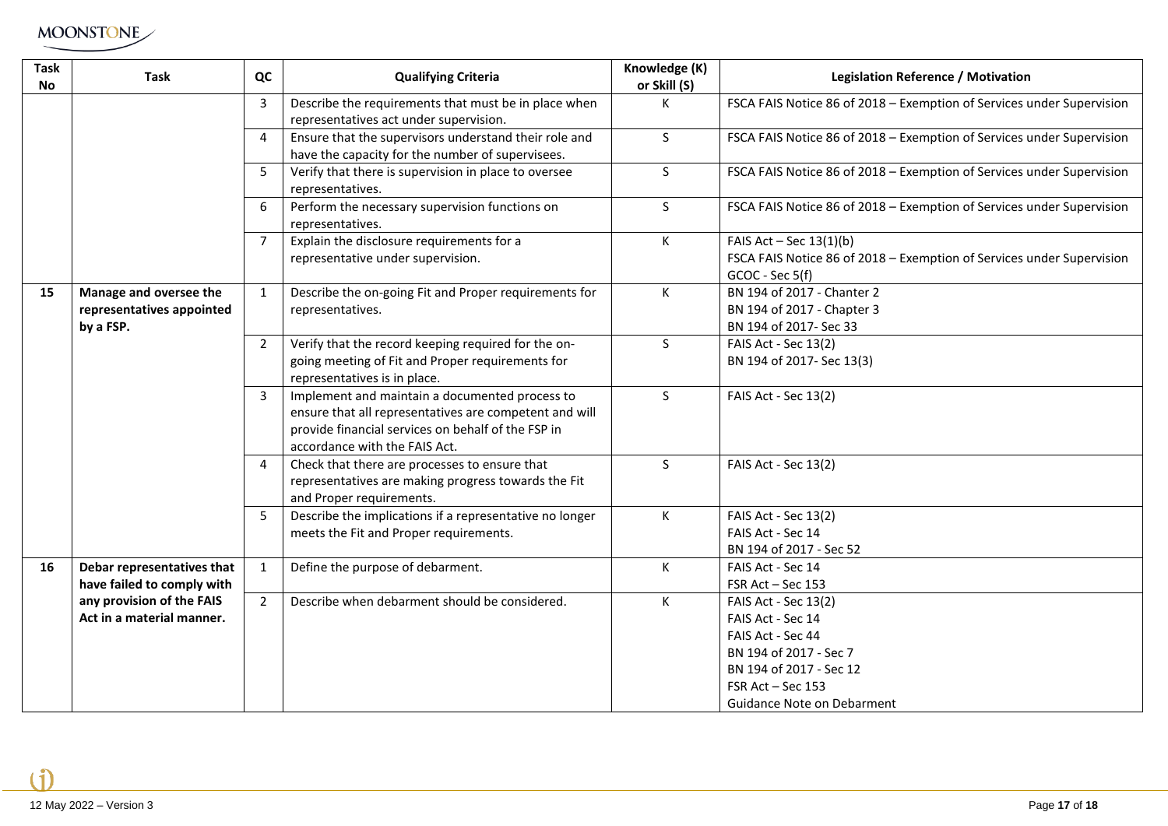| <b>Task</b><br>No | <b>Task</b>                                                                                                        | QC             | <b>Qualifying Criteria</b>                                                                                                                                                                      | Knowledge (K)<br>or Skill (S) | <b>Legislation Reference / Motivation</b>                                                                                                                              |
|-------------------|--------------------------------------------------------------------------------------------------------------------|----------------|-------------------------------------------------------------------------------------------------------------------------------------------------------------------------------------------------|-------------------------------|------------------------------------------------------------------------------------------------------------------------------------------------------------------------|
|                   |                                                                                                                    | $\mathbf{3}$   | Describe the requirements that must be in place when<br>representatives act under supervision.                                                                                                  | K                             | FSCA FAIS Notice 86 of 2018 - Exemption of Services under Supervision                                                                                                  |
|                   |                                                                                                                    | 4              | Ensure that the supervisors understand their role and<br>have the capacity for the number of supervisees.                                                                                       | $\mathsf{S}$                  | FSCA FAIS Notice 86 of 2018 - Exemption of Services under Supervision                                                                                                  |
|                   |                                                                                                                    | $5^{\circ}$    | Verify that there is supervision in place to oversee<br>representatives.                                                                                                                        | S                             | FSCA FAIS Notice 86 of 2018 - Exemption of Services under Supervision                                                                                                  |
|                   |                                                                                                                    | 6              | Perform the necessary supervision functions on<br>representatives.                                                                                                                              | $\mathsf{S}$                  | FSCA FAIS Notice 86 of 2018 - Exemption of Services under Supervision                                                                                                  |
|                   |                                                                                                                    | $\overline{7}$ | Explain the disclosure requirements for a<br>representative under supervision.                                                                                                                  | K                             | FAIS Act - Sec $13(1)(b)$<br>FSCA FAIS Notice 86 of 2018 - Exemption of Services under Supervision<br>GCOC - Sec 5(f)                                                  |
| 15                | Manage and oversee the<br>representatives appointed<br>by a FSP.                                                   | $\mathbf{1}$   | Describe the on-going Fit and Proper requirements for<br>representatives.                                                                                                                       | К                             | BN 194 of 2017 - Chanter 2<br>BN 194 of 2017 - Chapter 3<br>BN 194 of 2017- Sec 33                                                                                     |
|                   |                                                                                                                    | $2^{\circ}$    | Verify that the record keeping required for the on-<br>going meeting of Fit and Proper requirements for<br>representatives is in place.                                                         | $\mathsf{S}$                  | FAIS Act - Sec 13(2)<br>BN 194 of 2017- Sec 13(3)                                                                                                                      |
|                   |                                                                                                                    | $\overline{3}$ | Implement and maintain a documented process to<br>ensure that all representatives are competent and will<br>provide financial services on behalf of the FSP in<br>accordance with the FAIS Act. | $\mathsf{S}$                  | FAIS Act - Sec 13(2)                                                                                                                                                   |
|                   |                                                                                                                    | $\overline{4}$ | Check that there are processes to ensure that<br>representatives are making progress towards the Fit<br>and Proper requirements.                                                                | $\mathsf{S}$                  | FAIS Act - Sec 13(2)                                                                                                                                                   |
|                   |                                                                                                                    | 5              | Describe the implications if a representative no longer<br>meets the Fit and Proper requirements.                                                                                               | K                             | FAIS Act - Sec 13(2)<br>FAIS Act - Sec 14<br>BN 194 of 2017 - Sec 52                                                                                                   |
| 16                | Debar representatives that<br>have failed to comply with<br>any provision of the FAIS<br>Act in a material manner. | $\mathbf{1}$   | Define the purpose of debarment.                                                                                                                                                                | К                             | FAIS Act - Sec 14<br>FSR Act - Sec 153                                                                                                                                 |
|                   |                                                                                                                    | $2^{\circ}$    | Describe when debarment should be considered.                                                                                                                                                   | K                             | FAIS Act - Sec 13(2)<br>FAIS Act - Sec 14<br>FAIS Act - Sec 44<br>BN 194 of 2017 - Sec 7<br>BN 194 of 2017 - Sec 12<br>FSR Act - Sec 153<br>Guidance Note on Debarment |

÷.